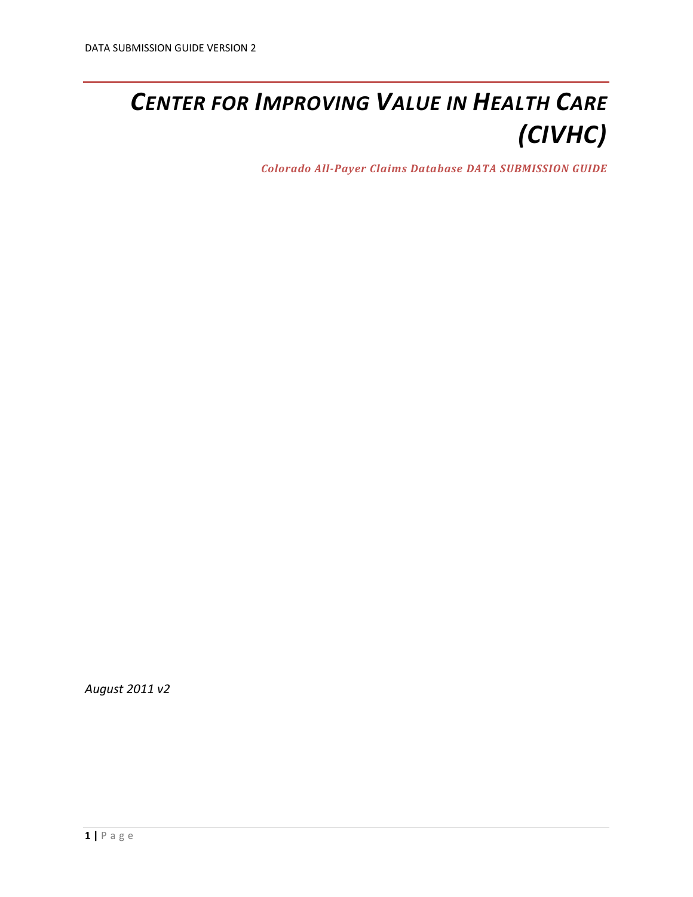# *CENTER FOR IMPROVING VALUE IN HEALTH CARE (CIVHC)*

*Colorado All-Payer Claims Database DATA SUBMISSION GUIDE*

*August 2011 v2*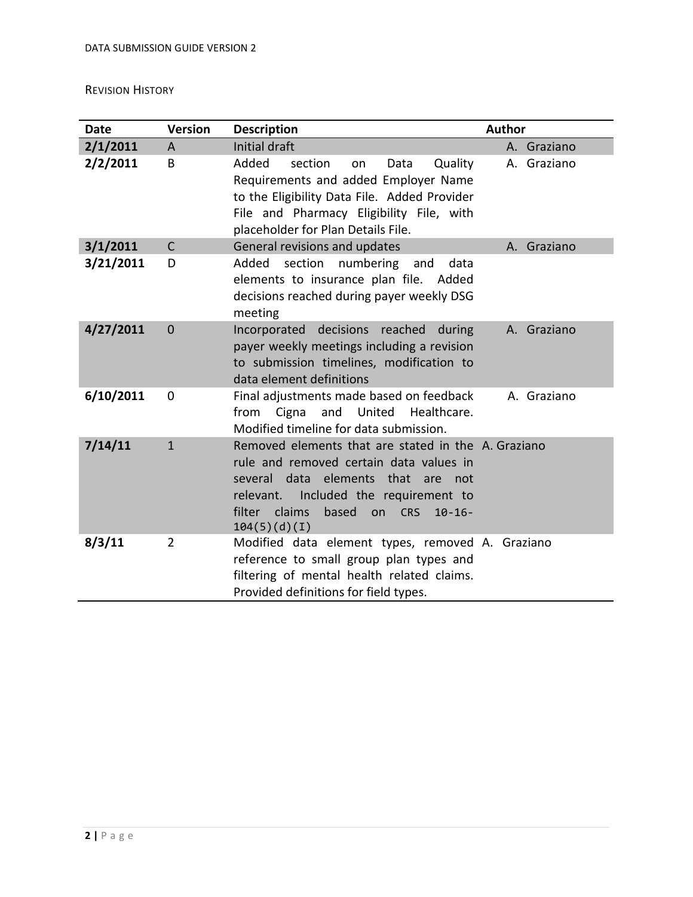## <span id="page-1-0"></span>REVISION HISTORY

| <b>Date</b> | <b>Version</b> | <b>Description</b>                                                                                                                                                                                                                                           | <b>Author</b> |
|-------------|----------------|--------------------------------------------------------------------------------------------------------------------------------------------------------------------------------------------------------------------------------------------------------------|---------------|
| 2/1/2011    | A              | Initial draft                                                                                                                                                                                                                                                | A. Graziano   |
| 2/2/2011    | B              | Added<br>section<br>Data<br>Quality<br>on<br>Requirements and added Employer Name<br>to the Eligibility Data File. Added Provider<br>File and Pharmacy Eligibility File, with<br>placeholder for Plan Details File.                                          | A. Graziano   |
| 3/1/2011    | $\mathsf{C}$   | General revisions and updates                                                                                                                                                                                                                                | A. Graziano   |
| 3/21/2011   | D              | Added<br>section<br>numbering<br>data<br>and<br>elements to insurance plan file. Added<br>decisions reached during payer weekly DSG<br>meeting                                                                                                               |               |
| 4/27/2011   | $\overline{0}$ | Incorporated decisions<br>reached<br>during<br>payer weekly meetings including a revision<br>to submission timelines, modification to<br>data element definitions                                                                                            | A. Graziano   |
| 6/10/2011   | $\mathbf 0$    | Final adjustments made based on feedback<br>Cigna<br>and<br>United<br>Healthcare.<br>from<br>Modified timeline for data submission.                                                                                                                          | A. Graziano   |
| 7/14/11     | $\mathbf{1}$   | Removed elements that are stated in the A. Graziano<br>rule and removed certain data values in<br>several data elements that<br>are<br>not<br>Included the requirement to<br>relevant.<br>claims<br>filter<br>based<br>on CRS<br>$10 - 16 -$<br>104(5)(d)(I) |               |
| 8/3/11      | $\overline{2}$ | Modified data element types, removed A. Graziano<br>reference to small group plan types and<br>filtering of mental health related claims.<br>Provided definitions for field types.                                                                           |               |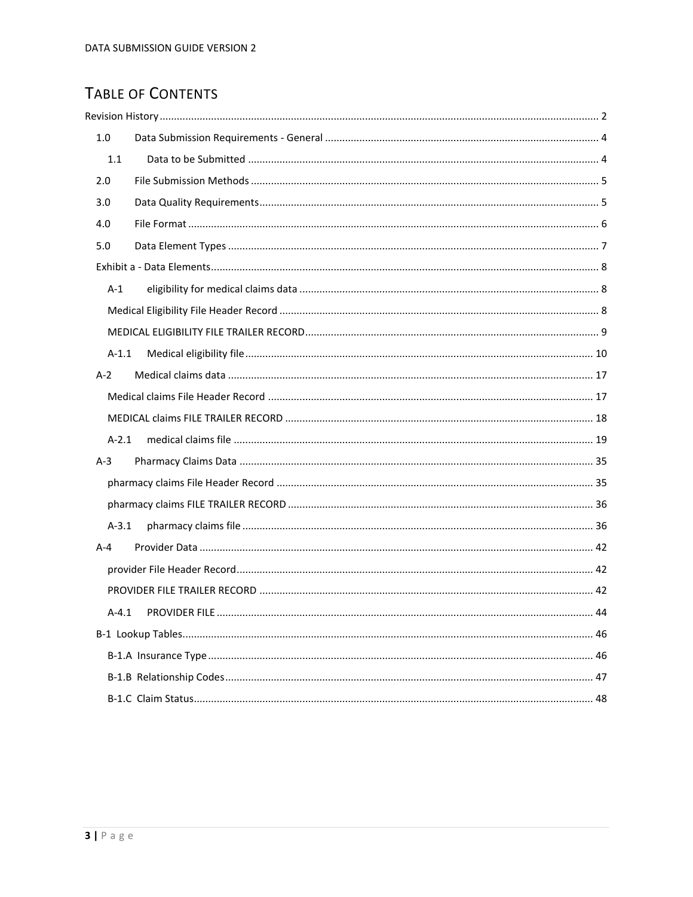# TABLE OF CONTENTS

| 1.0     |  |
|---------|--|
| 1.1     |  |
| 2.0     |  |
| 3.0     |  |
| 4.0     |  |
| 5.0     |  |
|         |  |
| $A-1$   |  |
|         |  |
|         |  |
| $A-1.1$ |  |
| $A-2$   |  |
|         |  |
|         |  |
| $A-2.1$ |  |
| $A-3$   |  |
|         |  |
|         |  |
| A-3.1   |  |
| $A - 4$ |  |
|         |  |
|         |  |
| $A-4.1$ |  |
|         |  |
|         |  |
|         |  |
|         |  |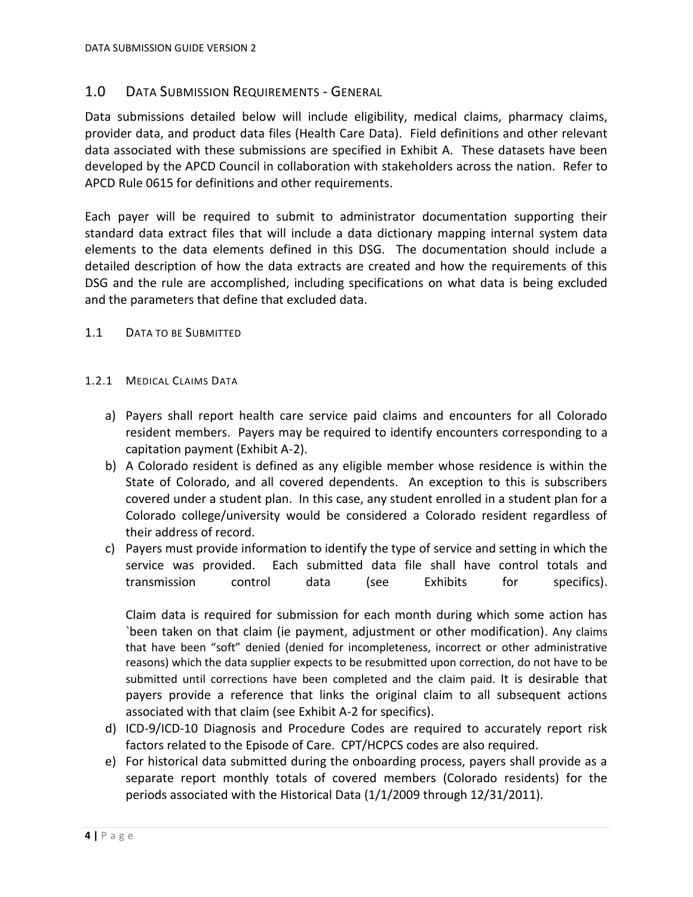## <span id="page-3-0"></span>1.0 DATA SUBMISSION REQUIREMENTS - GENERAL

Data submissions detailed below will include eligibility, medical claims, pharmacy claims, provider data, and product data files (Health Care Data). Field definitions and other relevant data associated with these submissions are specified in Exhibit A. These datasets have been developed by the APCD Council in collaboration with stakeholders across the nation. Refer to APCD Rule 0615 for definitions and other requirements.

Each payer will be required to submit to administrator documentation supporting their standard data extract files that will include a data dictionary mapping internal system data elements to the data elements defined in this DSG. The documentation should include a detailed description of how the data extracts are created and how the requirements of this DSG and the rule are accomplished, including specifications on what data is being excluded and the parameters that define that excluded data.

- <span id="page-3-1"></span>1.1 DATA TO BE SUBMITTED
- 1.2.1 MEDICAL CLAIMS DATA
	- a) Payers shall report health care service paid claims and encounters for all Colorado resident members. Payers may be required to identify encounters corresponding to a capitation payment (Exhibit A-2).
	- b) A Colorado resident is defined as any eligible member whose residence is within the State of Colorado, and all covered dependents. An exception to this is subscribers covered under a student plan. In this case, any student enrolled in a student plan for a Colorado college/university would be considered a Colorado resident regardless of their address of record.
	- c) Payers must provide information to identify the type of service and setting in which the service was provided. Each submitted data file shall have control totals and transmission control data (see Exhibits for specifics).

Claim data is required for submission for each month during which some action has `been taken on that claim (ie payment, adjustment or other modification). Any claims that have been "soft" denied (denied for incompleteness, incorrect or other administrative reasons) which the data supplier expects to be resubmitted upon correction, do not have to be submitted until corrections have been completed and the claim paid. It is desirable that payers provide a reference that links the original claim to all subsequent actions associated with that claim (see Exhibit A-2 for specifics).

- d) ICD-9/ICD-10 Diagnosis and Procedure Codes are required to accurately report risk factors related to the Episode of Care. CPT/HCPCS codes are also required.
- e) For historical data submitted during the onboarding process, payers shall provide as a separate report monthly totals of covered members (Colorado residents) for the periods associated with the Historical Data (1/1/2009 through 12/31/2011).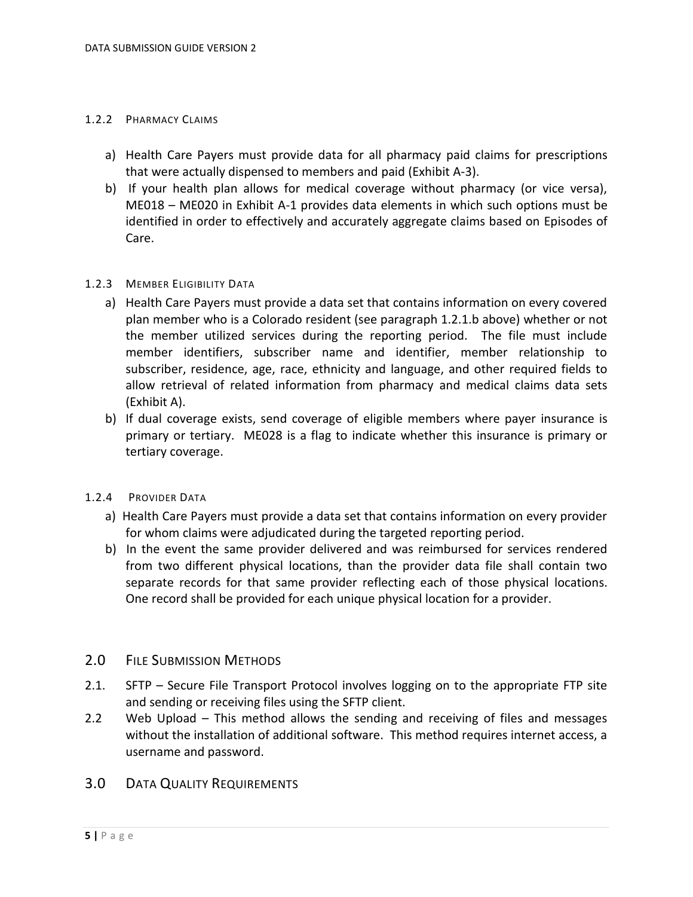#### 1.2.2 PHARMACY CLAIMS

- a) Health Care Payers must provide data for all pharmacy paid claims for prescriptions that were actually dispensed to members and paid (Exhibit A-3).
- b) If your health plan allows for medical coverage without pharmacy (or vice versa), ME018 – ME020 in Exhibit A-1 provides data elements in which such options must be identified in order to effectively and accurately aggregate claims based on Episodes of Care.

#### 1.2.3 MEMBER ELIGIBILITY DATA

- a) Health Care Payers must provide a data set that contains information on every covered plan member who is a Colorado resident (see paragraph 1.2.1.b above) whether or not the member utilized services during the reporting period. The file must include member identifiers, subscriber name and identifier, member relationship to subscriber, residence, age, race, ethnicity and language, and other required fields to allow retrieval of related information from pharmacy and medical claims data sets (Exhibit A).
- b) If dual coverage exists, send coverage of eligible members where payer insurance is primary or tertiary. ME028 is a flag to indicate whether this insurance is primary or tertiary coverage.

#### 1.2.4 PROVIDER DATA

- a) Health Care Payers must provide a data set that contains information on every provider for whom claims were adjudicated during the targeted reporting period.
- b) In the event the same provider delivered and was reimbursed for services rendered from two different physical locations, than the provider data file shall contain two separate records for that same provider reflecting each of those physical locations. One record shall be provided for each unique physical location for a provider.

#### <span id="page-4-0"></span>2.0 FILE SUBMISSION METHODS

- 2.1. SFTP Secure File Transport Protocol involves logging on to the appropriate FTP site and sending or receiving files using the SFTP client.
- 2.2 Web Upload This method allows the sending and receiving of files and messages without the installation of additional software. This method requires internet access, a username and password.

## <span id="page-4-1"></span>3.0 DATA QUALITY REQUIREMENTS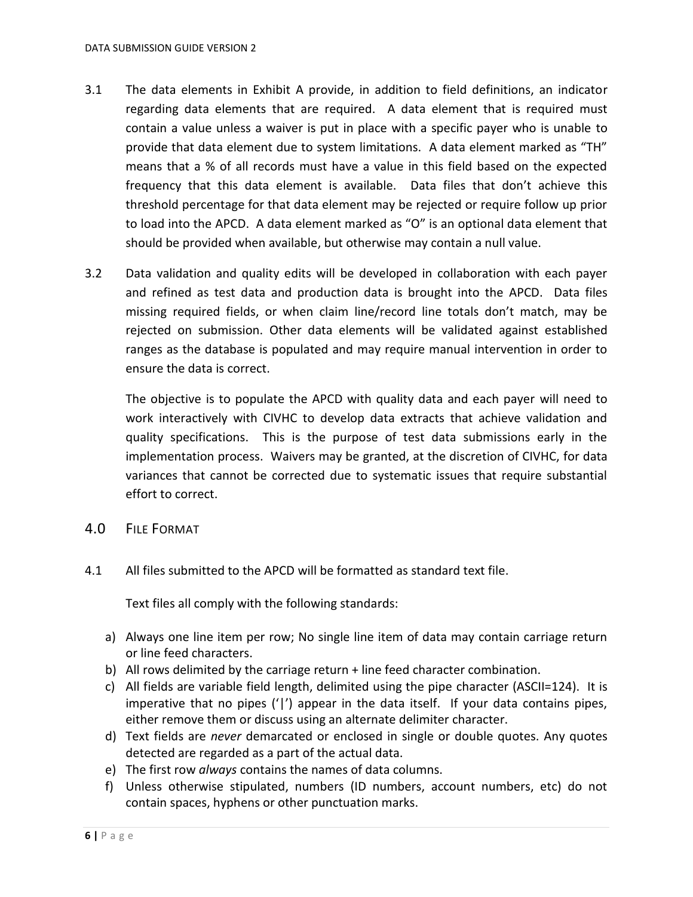- 3.1 The data elements in Exhibit A provide, in addition to field definitions, an indicator regarding data elements that are required. A data element that is required must contain a value unless a waiver is put in place with a specific payer who is unable to provide that data element due to system limitations. A data element marked as "TH" means that a % of all records must have a value in this field based on the expected frequency that this data element is available. Data files that don't achieve this threshold percentage for that data element may be rejected or require follow up prior to load into the APCD. A data element marked as "O" is an optional data element that should be provided when available, but otherwise may contain a null value.
- 3.2 Data validation and quality edits will be developed in collaboration with each payer and refined as test data and production data is brought into the APCD. Data files missing required fields, or when claim line/record line totals don't match, may be rejected on submission. Other data elements will be validated against established ranges as the database is populated and may require manual intervention in order to ensure the data is correct.

The objective is to populate the APCD with quality data and each payer will need to work interactively with CIVHC to develop data extracts that achieve validation and quality specifications. This is the purpose of test data submissions early in the implementation process. Waivers may be granted, at the discretion of CIVHC, for data variances that cannot be corrected due to systematic issues that require substantial effort to correct.

- <span id="page-5-0"></span>4.0 FILE FORMAT
- 4.1 All files submitted to the APCD will be formatted as standard text file.

Text files all comply with the following standards:

- a) Always one line item per row; No single line item of data may contain carriage return or line feed characters.
- b) All rows delimited by the carriage return + line feed character combination.
- c) All fields are variable field length, delimited using the pipe character (ASCII=124). It is imperative that no pipes ('|') appear in the data itself. If your data contains pipes, either remove them or discuss using an alternate delimiter character.
- d) Text fields are *never* demarcated or enclosed in single or double quotes. Any quotes detected are regarded as a part of the actual data.
- e) The first row *always* contains the names of data columns.
- f) Unless otherwise stipulated, numbers (ID numbers, account numbers, etc) do not contain spaces, hyphens or other punctuation marks.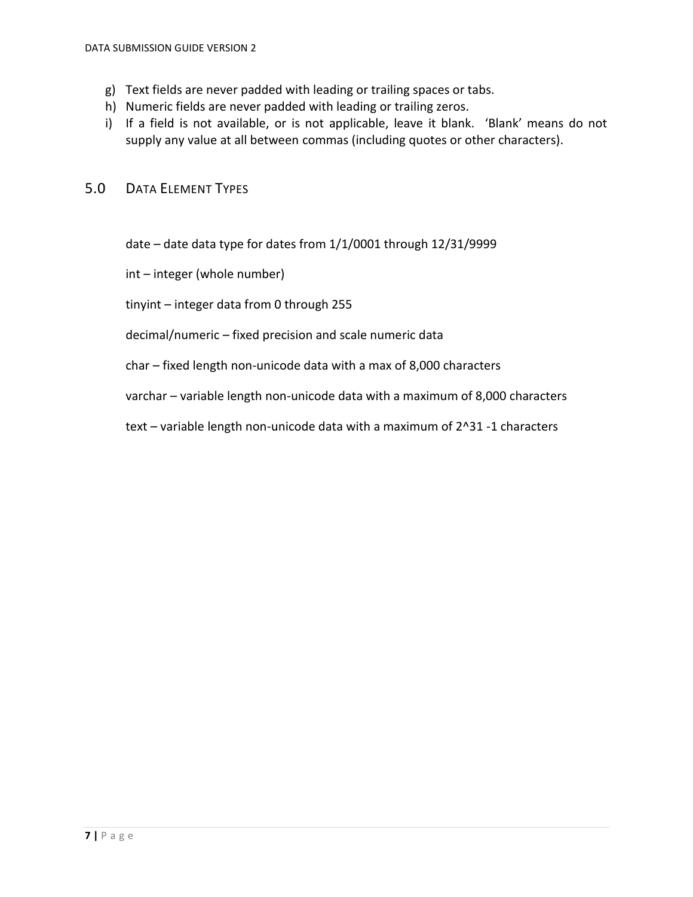- g) Text fields are never padded with leading or trailing spaces or tabs.
- h) Numeric fields are never padded with leading or trailing zeros.
- i) If a field is not available, or is not applicable, leave it blank. 'Blank' means do not supply any value at all between commas (including quotes or other characters).

## <span id="page-6-0"></span>5.0 DATA ELEMENT TYPES

date – date data type for dates from 1/1/0001 through 12/31/9999

int – integer (whole number)

tinyint – integer data from 0 through 255

#### decimal/numeric – fixed precision and scale numeric data

char – fixed length non-unicode data with a max of 8,000 characters

varchar – variable length non-unicode data with a maximum of 8,000 characters

text – variable length non-unicode data with a maximum of 2^31 -1 characters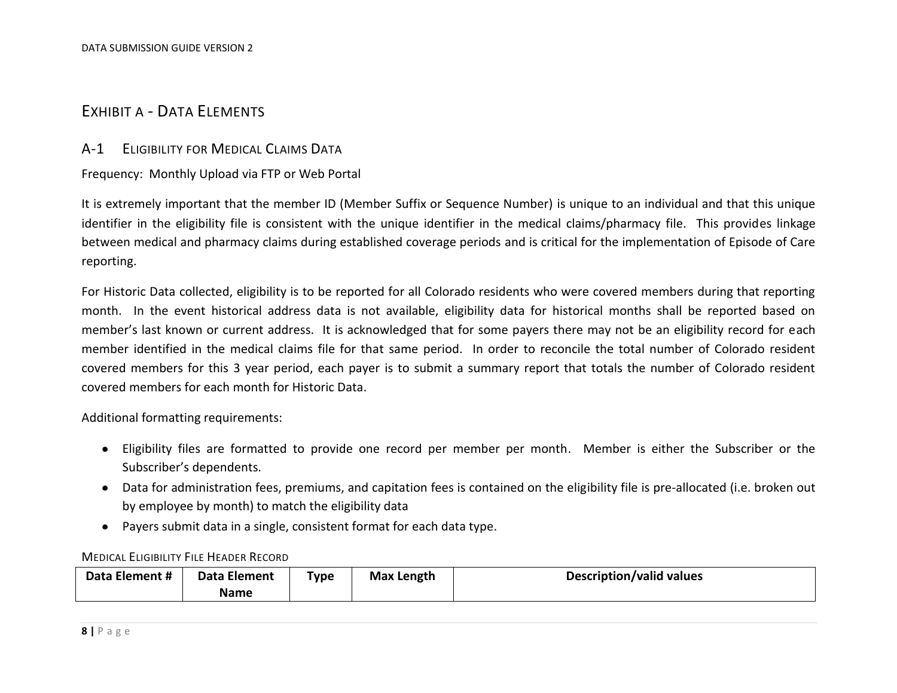# EXHIBIT A - DATA ELEMENTS

### A-1 ELIGIBILITY FOR MEDICAL CLAIMS DATA

Frequency: Monthly Upload via FTP or Web Portal

It is extremely important that the member ID (Member Suffix or Sequence Number) is unique to an individual and that this unique identifier in the eligibility file is consistent with the unique identifier in the medical claims/pharmacy file. This provides linkage between medical and pharmacy claims during established coverage periods and is critical for the implementation of Episode of Care reporting.

<span id="page-7-1"></span><span id="page-7-0"></span>For Historic Data collected, eligibility is to be reported for all Colorado residents who were covered members during that reporting month. In the event historical address data is not available, eligibility data for historical months shall be reported based on member's last known or current address. It is acknowledged that for some payers there may not be an eligibility record for each member identified in the medical claims file for that same period. In order to reconcile the total number of Colorado resident covered members for this 3 year period, each payer is to submit a summary report that totals the number of Colorado resident covered members for each month for Historic Data.

Additional formatting requirements:

- Eligibility files are formatted to provide one record per member per month. Member is either the Subscriber or the Subscriber's dependents.
- Data for administration fees, premiums, and capitation fees is contained on the eligibility file is pre-allocated (i.e. broken out by employee by month) to match the eligibility data
- Payers submit data in a single, consistent format for each data type.

#### MEDICAL ELIGIBILITY FILE HEADER RECORD

<span id="page-7-2"></span>

| Data Element # | Data Element | Type | <b>Max Length</b> | Description/valid values |
|----------------|--------------|------|-------------------|--------------------------|
|                | <b>Name</b>  |      |                   |                          |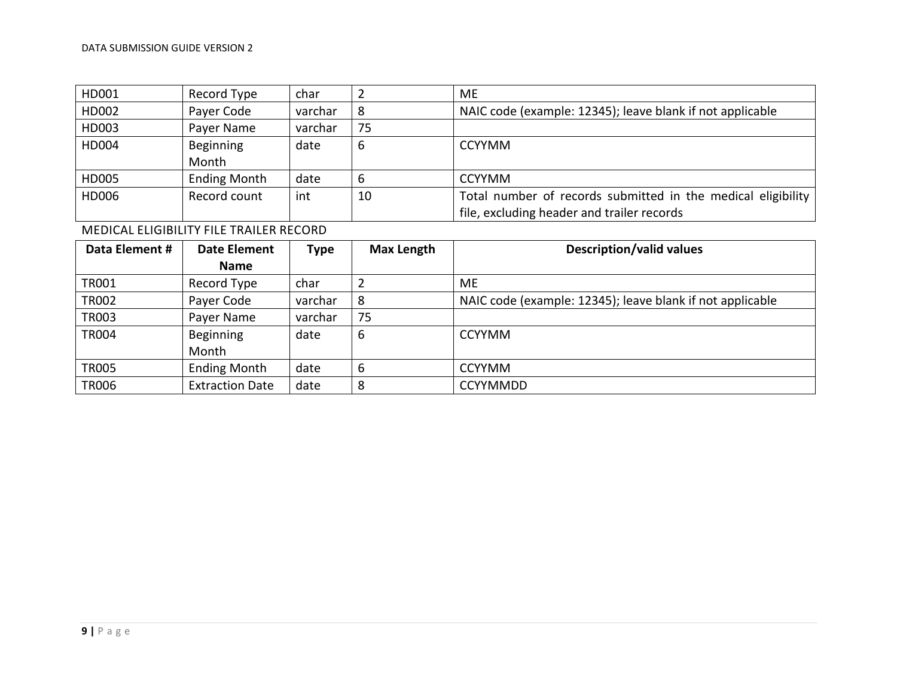| HD001 | Record Type         | char    |    | ME.                                                          |
|-------|---------------------|---------|----|--------------------------------------------------------------|
| HD002 | Payer Code          | varchar |    | NAIC code (example: 12345); leave blank if not applicable    |
| HD003 | Payer Name          | varchar | 75 |                                                              |
| HD004 | <b>Beginning</b>    | date    | b  | <b>CCYYMM</b>                                                |
|       | Month               |         |    |                                                              |
| HD005 | <b>Ending Month</b> | date    |    | <b>CCYYMM</b>                                                |
| HD006 | Record count        | int     | 10 | Total number of records submitted in the medical eligibility |
|       |                     |         |    | file, excluding header and trailer records                   |

MEDICAL ELIGIBILITY FILE TRAILER RECORD

<span id="page-8-0"></span>

| Data Element # | <b>Date Element</b>    | <b>Type</b> | <b>Max Length</b> | <b>Description/valid values</b>                           |
|----------------|------------------------|-------------|-------------------|-----------------------------------------------------------|
|                | <b>Name</b>            |             |                   |                                                           |
| <b>TR001</b>   | Record Type            | char        | 2                 | ME.                                                       |
| TR002          | Payer Code             | varchar     | 8                 | NAIC code (example: 12345); leave blank if not applicable |
| <b>TR003</b>   | Payer Name             | varchar     | 75                |                                                           |
| TR004          | Beginning              | date        | 6                 | <b>CCYYMM</b>                                             |
|                | Month                  |             |                   |                                                           |
| <b>TR005</b>   | <b>Ending Month</b>    | date        | 6                 | <b>CCYYMM</b>                                             |
| <b>TR006</b>   | <b>Extraction Date</b> | date        | 8                 | <b>CCYYMMDD</b>                                           |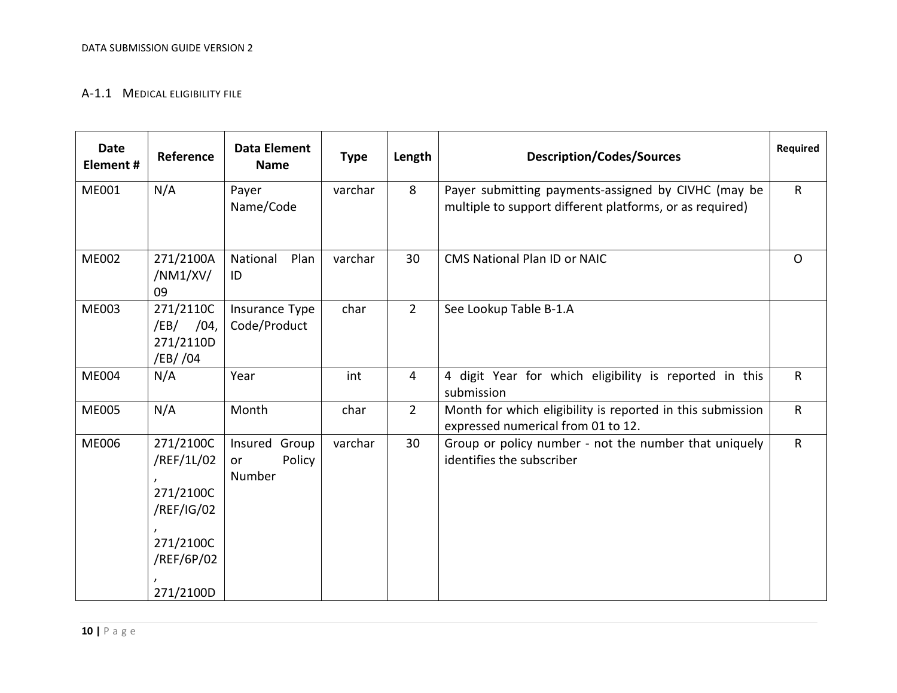#### A-1.1 MEDICAL ELIGIBILITY FILE

<span id="page-9-0"></span>

| <b>Date</b><br>Element # | Reference                                                                                  | <b>Data Element</b><br><b>Name</b>         | <b>Type</b> | Length         | <b>Description/Codes/Sources</b>                                                                                | Required     |
|--------------------------|--------------------------------------------------------------------------------------------|--------------------------------------------|-------------|----------------|-----------------------------------------------------------------------------------------------------------------|--------------|
| ME001                    | N/A                                                                                        | Payer<br>Name/Code                         | varchar     | 8              | Payer submitting payments-assigned by CIVHC (may be<br>multiple to support different platforms, or as required) | $\mathsf{R}$ |
| <b>ME002</b>             | 271/2100A<br>/NM1/ XV/<br>09                                                               | National<br>Plan<br>ID                     | varchar     | 30             | <b>CMS National Plan ID or NAIC</b>                                                                             | $\mathsf{O}$ |
| <b>ME003</b>             | 271/2110C<br>/EB/ /04,<br>271/2110D<br>/EB/ /04                                            | Insurance Type<br>Code/Product             | char        | $\overline{2}$ | See Lookup Table B-1.A                                                                                          |              |
| <b>ME004</b>             | N/A                                                                                        | Year                                       | int         | $\overline{4}$ | 4 digit Year for which eligibility is reported in this<br>submission                                            | $\mathsf{R}$ |
| <b>ME005</b>             | N/A                                                                                        | Month                                      | char        | $\overline{2}$ | Month for which eligibility is reported in this submission<br>expressed numerical from 01 to 12.                | $\mathsf{R}$ |
| <b>ME006</b>             | 271/2100C<br>/REF/1L/02<br>271/2100C<br>/REF/IG/02<br>271/2100C<br>/REF/6P/02<br>271/2100D | Insured<br>Group<br>Policy<br>or<br>Number | varchar     | 30             | Group or policy number - not the number that uniquely<br>identifies the subscriber                              | $\mathsf{R}$ |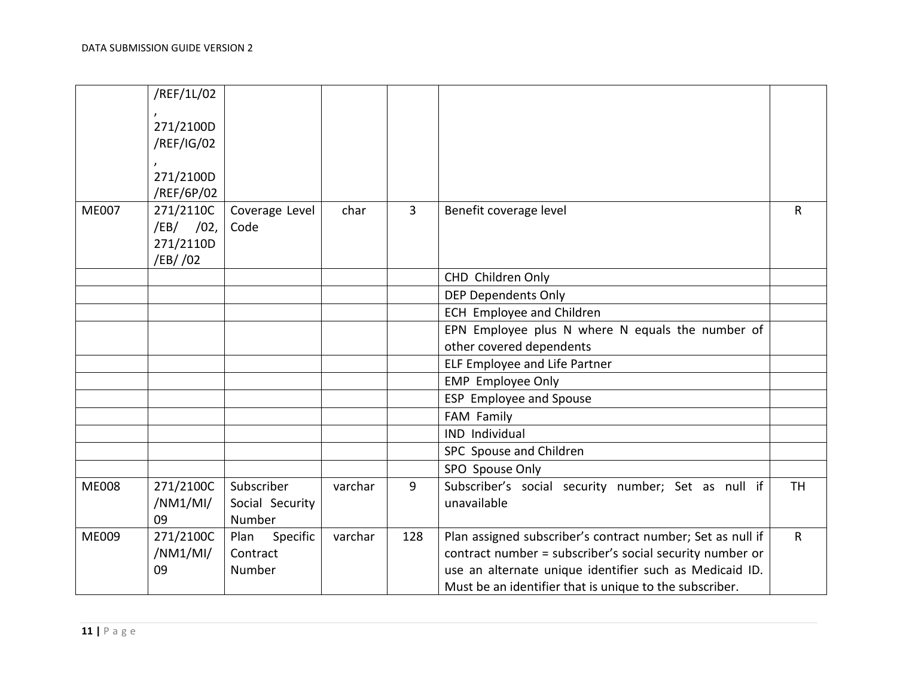|              | /REF/1L/02  |                  |         |     |                                                            |              |
|--------------|-------------|------------------|---------|-----|------------------------------------------------------------|--------------|
|              |             |                  |         |     |                                                            |              |
|              | 271/2100D   |                  |         |     |                                                            |              |
|              | /REF/IG/02  |                  |         |     |                                                            |              |
|              |             |                  |         |     |                                                            |              |
|              | 271/2100D   |                  |         |     |                                                            |              |
|              | /REF/6P/02  |                  |         |     |                                                            |              |
| <b>ME007</b> | 271/2110C   | Coverage Level   | char    | 3   | Benefit coverage level                                     | $\mathsf{R}$ |
|              | $/EB/$ /02, | Code             |         |     |                                                            |              |
|              | 271/2110D   |                  |         |     |                                                            |              |
|              | /EB/ /02    |                  |         |     |                                                            |              |
|              |             |                  |         |     | CHD Children Only                                          |              |
|              |             |                  |         |     | <b>DEP Dependents Only</b>                                 |              |
|              |             |                  |         |     | <b>ECH Employee and Children</b>                           |              |
|              |             |                  |         |     | EPN Employee plus N where N equals the number of           |              |
|              |             |                  |         |     | other covered dependents                                   |              |
|              |             |                  |         |     | <b>ELF Employee and Life Partner</b>                       |              |
|              |             |                  |         |     | <b>EMP</b> Employee Only                                   |              |
|              |             |                  |         |     | ESP Employee and Spouse                                    |              |
|              |             |                  |         |     | FAM Family                                                 |              |
|              |             |                  |         |     | IND Individual                                             |              |
|              |             |                  |         |     | SPC Spouse and Children                                    |              |
|              |             |                  |         |     | SPO Spouse Only                                            |              |
| <b>ME008</b> | 271/2100C   | Subscriber       | varchar | 9   | Subscriber's social security number; Set as null if        | <b>TH</b>    |
|              | /NM1/MI/    | Social Security  |         |     | unavailable                                                |              |
|              | 09          | Number           |         |     |                                                            |              |
| <b>ME009</b> | 271/2100C   | Specific<br>Plan | varchar | 128 | Plan assigned subscriber's contract number; Set as null if | $\mathsf{R}$ |
|              | /NM1/MI/    | Contract         |         |     | contract number = subscriber's social security number or   |              |
|              | 09          | Number           |         |     | use an alternate unique identifier such as Medicaid ID.    |              |
|              |             |                  |         |     | Must be an identifier that is unique to the subscriber.    |              |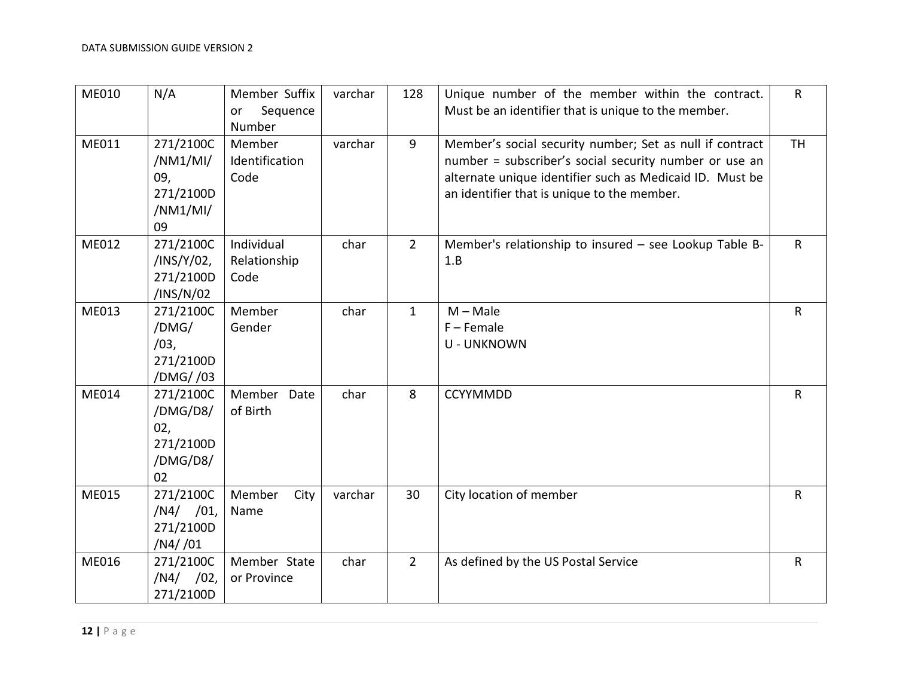| ME010 | N/A                                                         | Member Suffix<br>Sequence<br>or<br>Number | varchar | 128            | Unique number of the member within the contract.<br>Must be an identifier that is unique to the member.                                                                                                                       | $\mathsf{R}$ |
|-------|-------------------------------------------------------------|-------------------------------------------|---------|----------------|-------------------------------------------------------------------------------------------------------------------------------------------------------------------------------------------------------------------------------|--------------|
| ME011 | 271/2100C<br>/NM1/MI/<br>09,<br>271/2100D<br>/NM1/MI/<br>09 | Member<br>Identification<br>Code          | varchar | 9              | Member's social security number; Set as null if contract<br>number = subscriber's social security number or use an<br>alternate unique identifier such as Medicaid ID. Must be<br>an identifier that is unique to the member. | <b>TH</b>    |
| ME012 | 271/2100C<br>/INS/Y/02,<br>271/2100D<br>/INS/N/02           | Individual<br>Relationship<br>Code        | char    | $\overline{2}$ | Member's relationship to insured - see Lookup Table B-<br>1.B                                                                                                                                                                 | $\mathsf{R}$ |
| ME013 | 271/2100C<br>/DMG/<br>/03,<br>271/2100D<br>/DMG//03         | Member<br>Gender                          | char    | $\mathbf{1}$   | $M - Male$<br>$F -$ Female<br><b>U - UNKNOWN</b>                                                                                                                                                                              | $\mathsf{R}$ |
| ME014 | 271/2100C<br>/DMG/D8/<br>02,<br>271/2100D<br>/DMG/D8/<br>02 | Member Date<br>of Birth                   | char    | 8              | <b>CCYYMMDD</b>                                                                                                                                                                                                               | $\mathsf{R}$ |
| ME015 | 271/2100C<br>$/N4/$ /01,<br>271/2100D<br>/N4//01            | Member<br>City<br>Name                    | varchar | 30             | City location of member                                                                                                                                                                                                       | $\mathsf{R}$ |
| ME016 | 271/2100C<br>$/N4/$ /02,<br>271/2100D                       | Member State<br>or Province               | char    | $\overline{2}$ | As defined by the US Postal Service                                                                                                                                                                                           | $\mathsf{R}$ |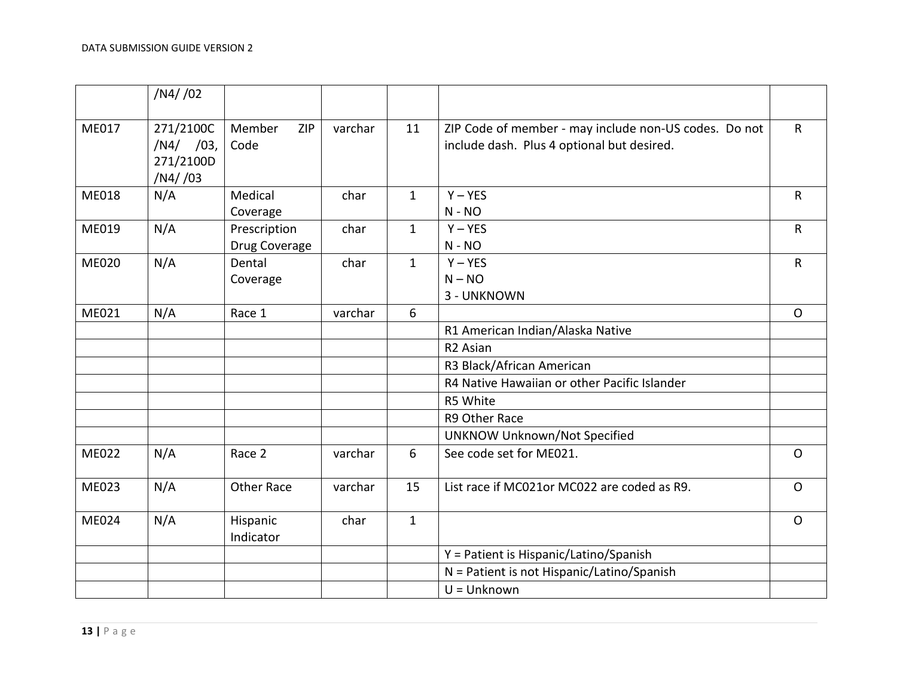|              | /N4//02                                          |                               |         |              |                                                                                                     |              |
|--------------|--------------------------------------------------|-------------------------------|---------|--------------|-----------------------------------------------------------------------------------------------------|--------------|
| ME017        | 271/2100C<br>$/N4/$ /03,<br>271/2100D<br>/N4//03 | Member<br>ZIP<br>Code         | varchar | 11           | ZIP Code of member - may include non-US codes. Do not<br>include dash. Plus 4 optional but desired. | $\mathsf{R}$ |
| <b>ME018</b> | N/A                                              | Medical<br>Coverage           | char    | $\mathbf{1}$ | $Y - YES$<br>$N - NO$                                                                               | $\mathsf{R}$ |
| ME019        | N/A                                              | Prescription<br>Drug Coverage | char    | $\mathbf{1}$ | $Y - YES$<br>$N - NO$                                                                               | $\mathsf{R}$ |
| <b>ME020</b> | N/A                                              | Dental<br>Coverage            | char    | $\mathbf{1}$ | $Y - YES$<br>$N - NO$<br>3 - UNKNOWN                                                                | $\mathsf{R}$ |
| ME021        | N/A                                              | Race 1                        | varchar | 6            |                                                                                                     | $\mathsf{O}$ |
|              |                                                  |                               |         |              | R1 American Indian/Alaska Native                                                                    |              |
|              |                                                  |                               |         |              | R <sub>2</sub> Asian                                                                                |              |
|              |                                                  |                               |         |              | R3 Black/African American                                                                           |              |
|              |                                                  |                               |         |              | R4 Native Hawaiian or other Pacific Islander                                                        |              |
|              |                                                  |                               |         |              | R5 White                                                                                            |              |
|              |                                                  |                               |         |              | R9 Other Race                                                                                       |              |
|              |                                                  |                               |         |              | <b>UNKNOW Unknown/Not Specified</b>                                                                 |              |
| ME022        | N/A                                              | Race 2                        | varchar | 6            | See code set for ME021.                                                                             | $\mathsf{O}$ |
| ME023        | N/A                                              | <b>Other Race</b>             | varchar | 15           | List race if MC021or MC022 are coded as R9.                                                         | $\mathsf{O}$ |
| ME024        | N/A                                              | Hispanic<br>Indicator         | char    | $\mathbf{1}$ |                                                                                                     | $\circ$      |
|              |                                                  |                               |         |              | Y = Patient is Hispanic/Latino/Spanish                                                              |              |
|              |                                                  |                               |         |              | N = Patient is not Hispanic/Latino/Spanish                                                          |              |
|              |                                                  |                               |         |              | $U =$ Unknown                                                                                       |              |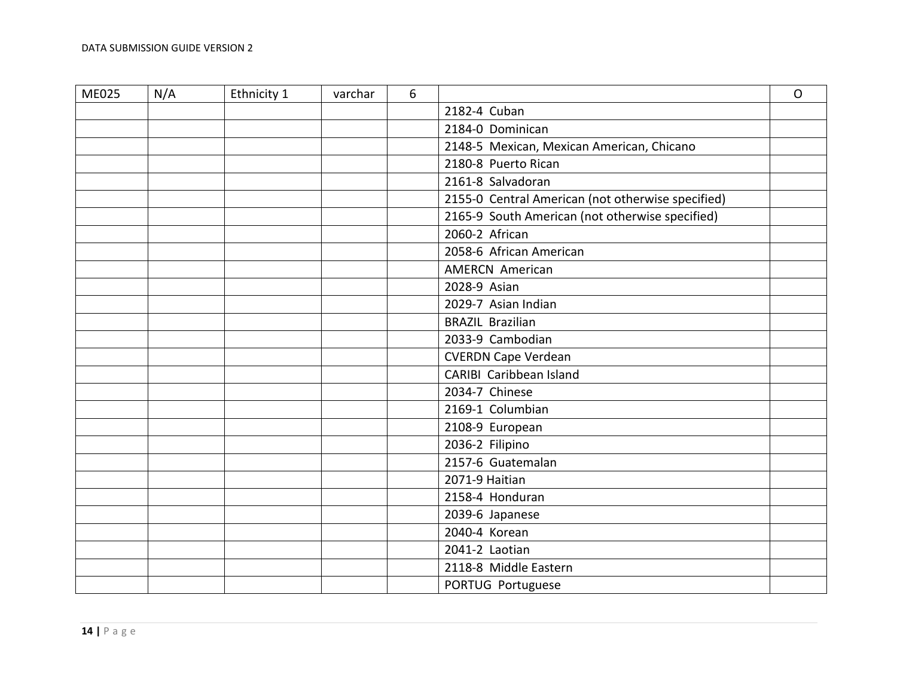| <b>ME025</b> | N/A | Ethnicity 1 | varchar | 6 |                                                   | $\Omega$ |
|--------------|-----|-------------|---------|---|---------------------------------------------------|----------|
|              |     |             |         |   | 2182-4 Cuban                                      |          |
|              |     |             |         |   | 2184-0 Dominican                                  |          |
|              |     |             |         |   | 2148-5 Mexican, Mexican American, Chicano         |          |
|              |     |             |         |   | 2180-8 Puerto Rican                               |          |
|              |     |             |         |   | 2161-8 Salvadoran                                 |          |
|              |     |             |         |   | 2155-0 Central American (not otherwise specified) |          |
|              |     |             |         |   | 2165-9 South American (not otherwise specified)   |          |
|              |     |             |         |   | 2060-2 African                                    |          |
|              |     |             |         |   | 2058-6 African American                           |          |
|              |     |             |         |   | <b>AMERCN American</b>                            |          |
|              |     |             |         |   | 2028-9 Asian                                      |          |
|              |     |             |         |   | 2029-7 Asian Indian                               |          |
|              |     |             |         |   | <b>BRAZIL Brazilian</b>                           |          |
|              |     |             |         |   | 2033-9 Cambodian                                  |          |
|              |     |             |         |   | <b>CVERDN Cape Verdean</b>                        |          |
|              |     |             |         |   | CARIBI Caribbean Island                           |          |
|              |     |             |         |   | 2034-7 Chinese                                    |          |
|              |     |             |         |   | 2169-1 Columbian                                  |          |
|              |     |             |         |   | 2108-9 European                                   |          |
|              |     |             |         |   | 2036-2 Filipino                                   |          |
|              |     |             |         |   | 2157-6 Guatemalan                                 |          |
|              |     |             |         |   | 2071-9 Haitian                                    |          |
|              |     |             |         |   | 2158-4 Honduran                                   |          |
|              |     |             |         |   | 2039-6 Japanese                                   |          |
|              |     |             |         |   | 2040-4 Korean                                     |          |
|              |     |             |         |   | 2041-2 Laotian                                    |          |
|              |     |             |         |   | 2118-8 Middle Eastern                             |          |
|              |     |             |         |   | PORTUG Portuguese                                 |          |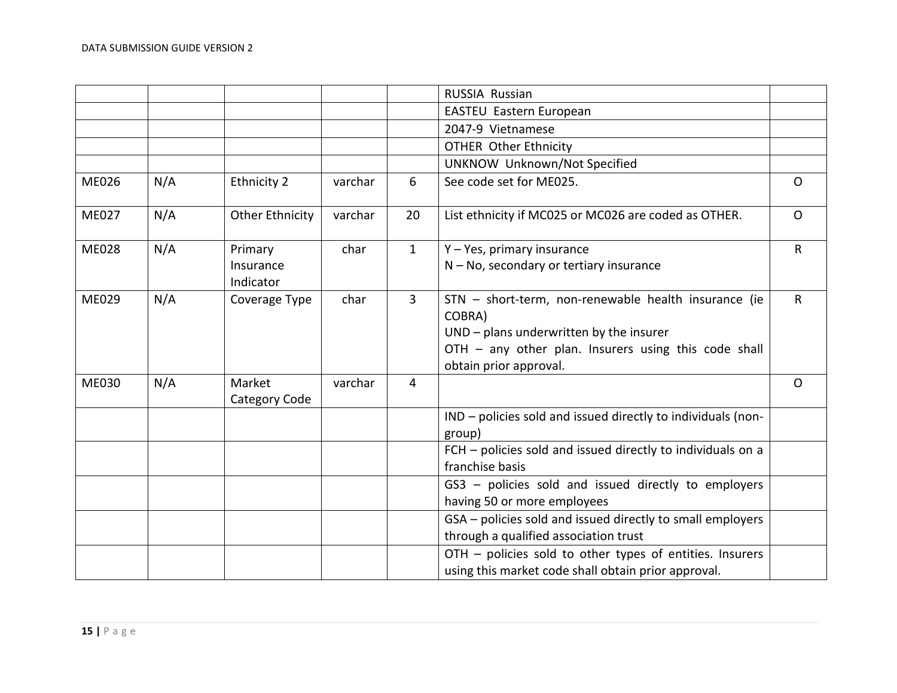|              |     |                                   |         |                | RUSSIA Russian                                                                                                                                                                              |              |
|--------------|-----|-----------------------------------|---------|----------------|---------------------------------------------------------------------------------------------------------------------------------------------------------------------------------------------|--------------|
|              |     |                                   |         |                | EASTEU Eastern European                                                                                                                                                                     |              |
|              |     |                                   |         |                | 2047-9 Vietnamese                                                                                                                                                                           |              |
|              |     |                                   |         |                | <b>OTHER Other Ethnicity</b>                                                                                                                                                                |              |
|              |     |                                   |         |                | <b>UNKNOW Unknown/Not Specified</b>                                                                                                                                                         |              |
| <b>ME026</b> | N/A | <b>Ethnicity 2</b>                | varchar | 6              | See code set for ME025.                                                                                                                                                                     | $\Omega$     |
| <b>ME027</b> | N/A | <b>Other Ethnicity</b>            | varchar | 20             | List ethnicity if MC025 or MC026 are coded as OTHER.                                                                                                                                        | $\Omega$     |
| <b>ME028</b> | N/A | Primary<br>Insurance<br>Indicator | char    | $\mathbf{1}$   | Y - Yes, primary insurance<br>$N - No$ , secondary or tertiary insurance                                                                                                                    | $\mathsf{R}$ |
| ME029        | N/A | Coverage Type                     | char    | $\overline{3}$ | STN - short-term, non-renewable health insurance (ie<br>COBRA)<br>UND - plans underwritten by the insurer<br>OTH - any other plan. Insurers using this code shall<br>obtain prior approval. | $\mathsf{R}$ |
| <b>ME030</b> | N/A | Market<br>Category Code           | varchar | 4              |                                                                                                                                                                                             | $\mathsf{O}$ |
|              |     |                                   |         |                | IND - policies sold and issued directly to individuals (non-<br>group)                                                                                                                      |              |
|              |     |                                   |         |                | FCH - policies sold and issued directly to individuals on a<br>franchise basis                                                                                                              |              |
|              |     |                                   |         |                | GS3 - policies sold and issued directly to employers<br>having 50 or more employees                                                                                                         |              |
|              |     |                                   |         |                | GSA - policies sold and issued directly to small employers<br>through a qualified association trust                                                                                         |              |
|              |     |                                   |         |                | OTH - policies sold to other types of entities. Insurers<br>using this market code shall obtain prior approval.                                                                             |              |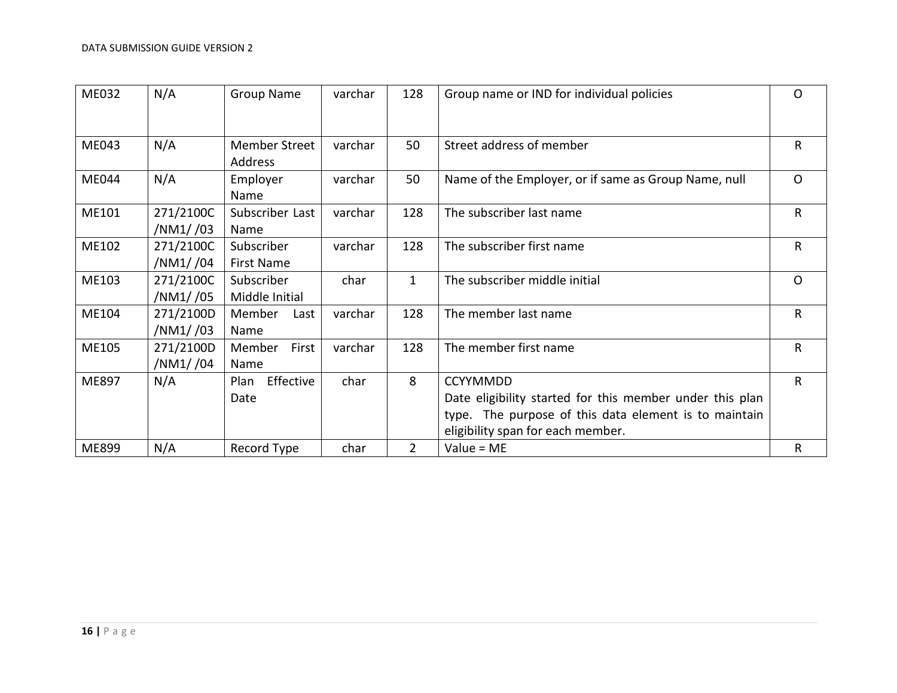<span id="page-15-0"></span>

| ME032 | N/A       | <b>Group Name</b> | varchar | 128            | Group name or IND for individual policies                | $\circ$      |
|-------|-----------|-------------------|---------|----------------|----------------------------------------------------------|--------------|
|       |           |                   |         |                |                                                          |              |
| ME043 | N/A       | Member Street     | varchar | 50             | Street address of member                                 | $\mathsf{R}$ |
|       |           | Address           |         |                |                                                          |              |
| ME044 | N/A       | Employer          | varchar | 50             | Name of the Employer, or if same as Group Name, null     | $\circ$      |
|       |           | Name              |         |                |                                                          |              |
| ME101 | 271/2100C | Subscriber Last   | varchar | 128            | The subscriber last name                                 | $\mathsf{R}$ |
|       | /NM1//03  | Name              |         |                |                                                          |              |
| ME102 | 271/2100C | Subscriber        | varchar | 128            | The subscriber first name                                | $\mathsf{R}$ |
|       | /NM1//04  | First Name        |         |                |                                                          |              |
| ME103 | 271/2100C | Subscriber        | char    | $\mathbf{1}$   | The subscriber middle initial                            | $\mathsf{O}$ |
|       | /NM1//05  | Middle Initial    |         |                |                                                          |              |
| ME104 | 271/2100D | Member<br>Last    | varchar | 128            | The member last name                                     | $\mathsf{R}$ |
|       | /NM1//03  | Name              |         |                |                                                          |              |
| ME105 | 271/2100D | First<br>Member   | varchar | 128            | The member first name                                    | R            |
|       | /NM1//04  | Name              |         |                |                                                          |              |
| ME897 | N/A       | Effective<br>Plan | char    | 8              | <b>CCYYMMDD</b>                                          | $\mathsf{R}$ |
|       |           | Date              |         |                | Date eligibility started for this member under this plan |              |
|       |           |                   |         |                | type. The purpose of this data element is to maintain    |              |
|       |           |                   |         |                | eligibility span for each member.                        |              |
| ME899 | N/A       | Record Type       | char    | $\overline{2}$ | $Value = ME$                                             | R            |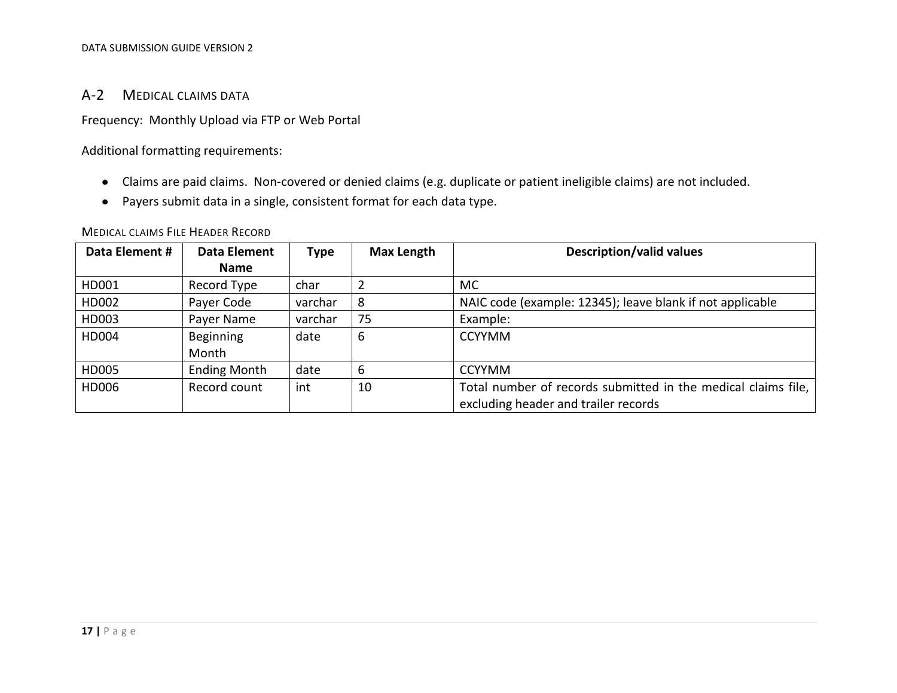## A-2 MEDICAL CLAIMS DATA

Frequency: Monthly Upload via FTP or Web Portal

Additional formatting requirements:

- Claims are paid claims. Non-covered or denied claims (e.g. duplicate or patient ineligible claims) are not included.
- Payers submit data in a single, consistent format for each data type.

<span id="page-16-0"></span>

| Data Element # | <b>Data Element</b> | <b>Type</b> | <b>Max Length</b> | <b>Description/valid values</b>                               |
|----------------|---------------------|-------------|-------------------|---------------------------------------------------------------|
|                | <b>Name</b>         |             |                   |                                                               |
| HD001          | Record Type         | char        |                   | MC.                                                           |
| HD002          | Payer Code          | varchar     | 8                 | NAIC code (example: 12345); leave blank if not applicable     |
| HD003          | Payer Name          | varchar     | 75                | Example:                                                      |
| HD004          | Beginning           | date        | 6                 | <b>CCYYMM</b>                                                 |
|                | Month               |             |                   |                                                               |
| HD005          | <b>Ending Month</b> | date        | 6                 | <b>CCYYMM</b>                                                 |
| HD006          | Record count        | int         | 10                | Total number of records submitted in the medical claims file, |
|                |                     |             |                   | excluding header and trailer records                          |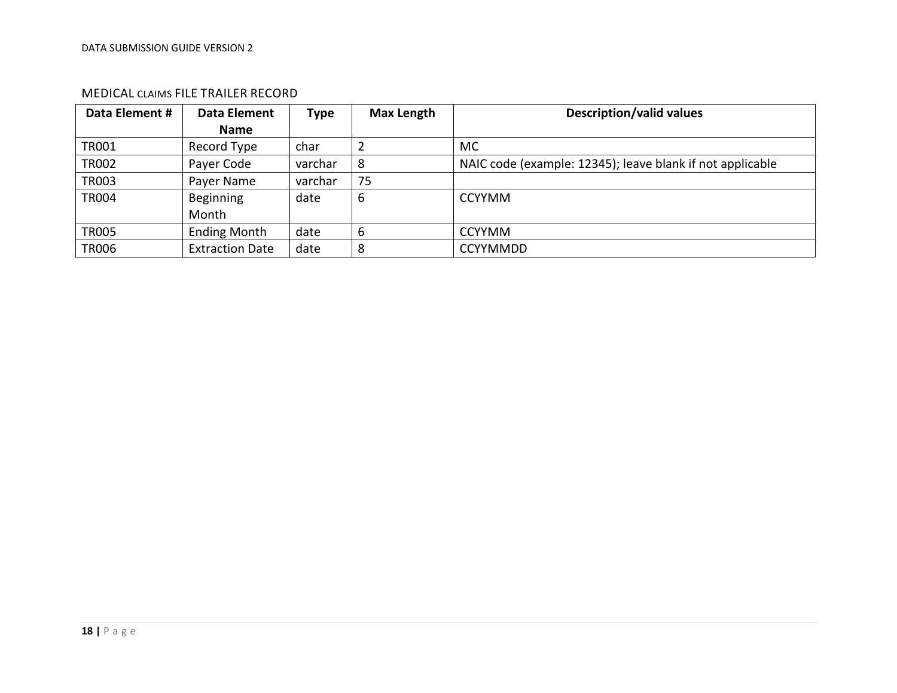<span id="page-17-0"></span>

| Data Element # | <b>Data Element</b>    | Type    | <b>Max Length</b> | <b>Description/valid values</b>                           |
|----------------|------------------------|---------|-------------------|-----------------------------------------------------------|
|                | <b>Name</b>            |         |                   |                                                           |
| <b>TR001</b>   | Record Type            | char    |                   | MC.                                                       |
| <b>TR002</b>   | Payer Code             | varchar | 8                 | NAIC code (example: 12345); leave blank if not applicable |
| <b>TR003</b>   | Payer Name             | varchar | 75                |                                                           |
| <b>TR004</b>   | Beginning              | date    | 6                 | <b>CCYYMM</b>                                             |
|                | Month                  |         |                   |                                                           |
| <b>TR005</b>   | <b>Ending Month</b>    | date    | 6                 | <b>CCYYMM</b>                                             |
| <b>TR006</b>   | <b>Extraction Date</b> | date    | 8                 | <b>CCYYMMDD</b>                                           |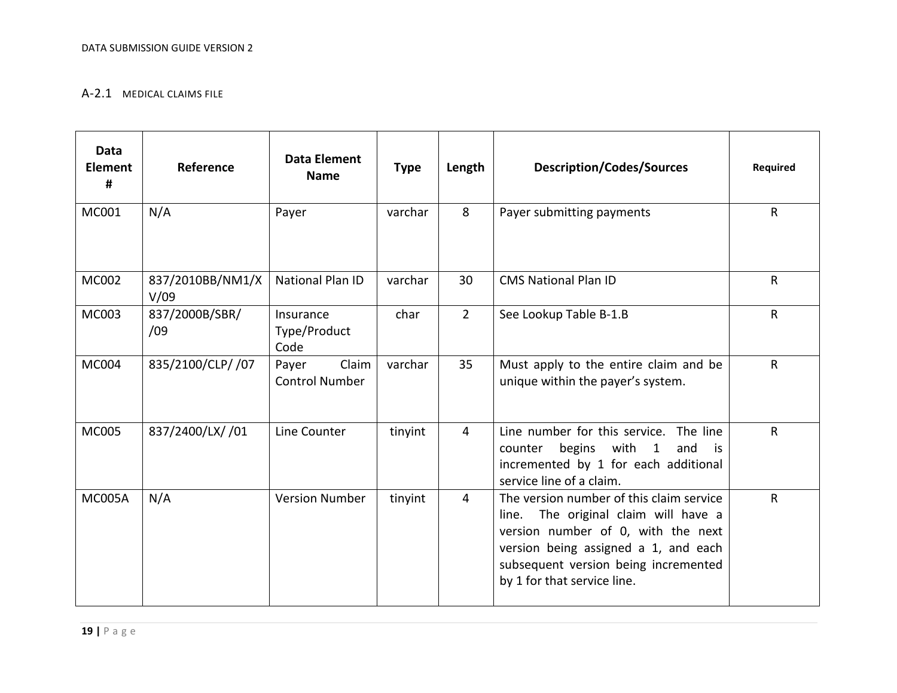#### A-2.1 MEDICAL CLAIMS FILE

<span id="page-18-0"></span>

| <b>Data</b><br>Element<br># | Reference                | <b>Data Element</b><br><b>Name</b>      | <b>Type</b> | Length         | <b>Description/Codes/Sources</b>                                                                                                                                                                                                      | <b>Required</b> |
|-----------------------------|--------------------------|-----------------------------------------|-------------|----------------|---------------------------------------------------------------------------------------------------------------------------------------------------------------------------------------------------------------------------------------|-----------------|
| MC001                       | N/A                      | Payer                                   | varchar     | 8              | Payer submitting payments                                                                                                                                                                                                             | $\mathsf{R}$    |
| <b>MC002</b>                | 837/2010BB/NM1/X<br>V/09 | <b>National Plan ID</b>                 | varchar     | 30             | <b>CMS National Plan ID</b>                                                                                                                                                                                                           | $\mathsf{R}$    |
| MC003                       | 837/2000B/SBR/<br>/09    | Insurance<br>Type/Product<br>Code       | char        | $2^{\circ}$    | See Lookup Table B-1.B                                                                                                                                                                                                                | $\mathsf{R}$    |
| MC004                       | 835/2100/CLP/ /07        | Claim<br>Payer<br><b>Control Number</b> | varchar     | 35             | Must apply to the entire claim and be<br>unique within the payer's system.                                                                                                                                                            | $\mathsf R$     |
| <b>MC005</b>                | 837/2400/LX/ /01         | Line Counter                            | tinyint     | $\overline{4}$ | Line number for this service. The line<br>begins with 1<br>and<br>counter<br>is is<br>incremented by 1 for each additional<br>service line of a claim.                                                                                | $\mathsf{R}$    |
| <b>MC005A</b>               | N/A                      | <b>Version Number</b>                   | tinyint     | $\overline{4}$ | The version number of this claim service<br>line. The original claim will have a<br>version number of 0, with the next<br>version being assigned a 1, and each<br>subsequent version being incremented<br>by 1 for that service line. | $\mathsf{R}$    |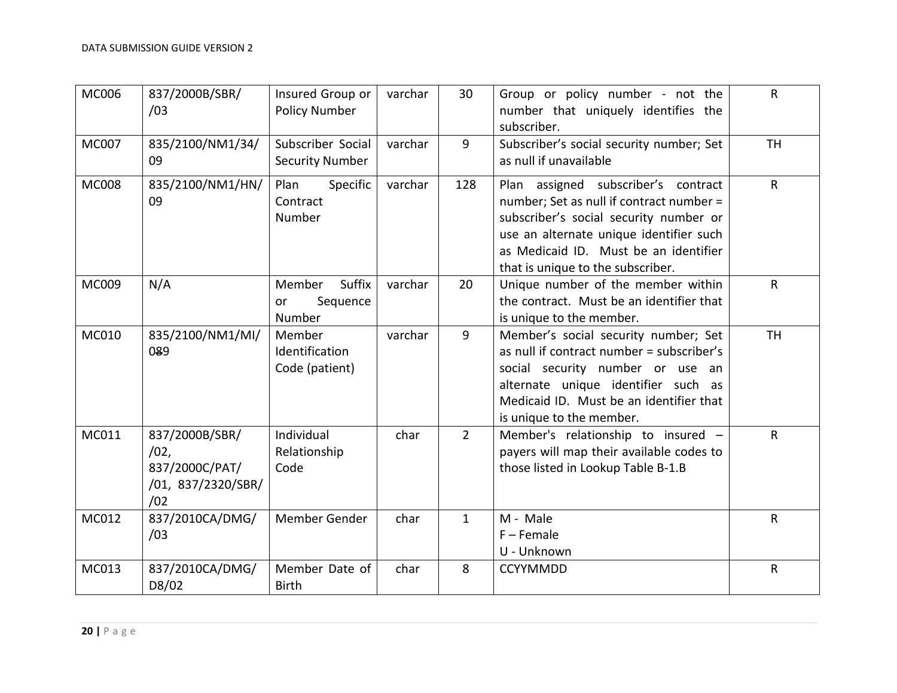| <b>MC006</b> | 837/2000B/SBR/<br>/03                                                 | Insured Group or<br><b>Policy Number</b>     | varchar | 30             | Group or policy number - not the<br>number that uniquely identifies the<br>subscriber.                                                                                                                                                             | $\mathsf{R}$ |
|--------------|-----------------------------------------------------------------------|----------------------------------------------|---------|----------------|----------------------------------------------------------------------------------------------------------------------------------------------------------------------------------------------------------------------------------------------------|--------------|
| <b>MC007</b> | 835/2100/NM1/34/<br>09                                                | Subscriber Social<br><b>Security Number</b>  | varchar | $\overline{9}$ | Subscriber's social security number; Set<br>as null if unavailable                                                                                                                                                                                 | <b>TH</b>    |
| <b>MC008</b> | 835/2100/NM1/HN/<br>09                                                | Plan<br>Specific<br>Contract<br>Number       | varchar | 128            | Plan assigned subscriber's contract<br>number; Set as null if contract number =<br>subscriber's social security number or<br>use an alternate unique identifier such<br>as Medicaid ID. Must be an identifier<br>that is unique to the subscriber. | $\mathsf{R}$ |
| MC009        | N/A                                                                   | Suffix<br>Member<br>Sequence<br>or<br>Number | varchar | 20             | Unique number of the member within<br>the contract. Must be an identifier that<br>is unique to the member.                                                                                                                                         | R            |
| MC010        | 835/2100/NM1/MI/<br>089                                               | Member<br>Identification<br>Code (patient)   | varchar | $\overline{9}$ | Member's social security number; Set<br>as null if contract number = subscriber's<br>social security number or use an<br>alternate unique identifier such as<br>Medicaid ID. Must be an identifier that<br>is unique to the member.                | <b>TH</b>    |
| MC011        | 837/2000B/SBR/<br>/02,<br>837/2000C/PAT/<br>/01, 837/2320/SBR/<br>/02 | Individual<br>Relationship<br>Code           | char    | $2^{\circ}$    | Member's relationship to insured -<br>payers will map their available codes to<br>those listed in Lookup Table B-1.B                                                                                                                               | R            |
| MC012        | 837/2010CA/DMG/<br>/03                                                | Member Gender                                | char    | $\mathbf{1}$   | M - Male<br>$F -$ Female<br>U - Unknown                                                                                                                                                                                                            | $\mathsf R$  |
| MC013        | 837/2010CA/DMG/<br>D8/02                                              | Member Date of<br><b>Birth</b>               | char    | 8              | <b>CCYYMMDD</b>                                                                                                                                                                                                                                    | ${\sf R}$    |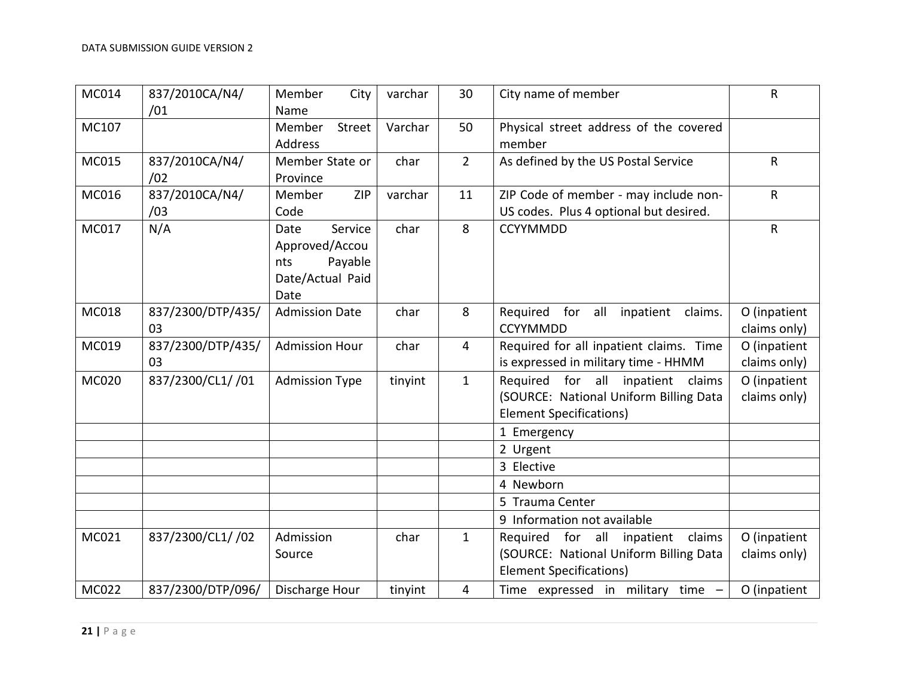| MC014        | 837/2010CA/N4/<br>/01   | Member<br>City<br>Name                                                          | varchar | 30             | City name of member                                                                                              | R                            |
|--------------|-------------------------|---------------------------------------------------------------------------------|---------|----------------|------------------------------------------------------------------------------------------------------------------|------------------------------|
| MC107        |                         | Member<br><b>Street</b><br>Address                                              | Varchar | 50             | Physical street address of the covered<br>member                                                                 |                              |
| MC015        | 837/2010CA/N4/<br>/02   | Member State or<br>Province                                                     | char    | $\overline{2}$ | As defined by the US Postal Service                                                                              | R                            |
| MC016        | 837/2010CA/N4/<br>/03   | <b>ZIP</b><br>Member<br>Code                                                    | varchar | 11             | ZIP Code of member - may include non-<br>US codes. Plus 4 optional but desired.                                  | R                            |
| MC017        | N/A                     | Service<br>Date<br>Approved/Accou<br>Payable<br>nts<br>Date/Actual Paid<br>Date | char    | 8              | <b>CCYYMMDD</b>                                                                                                  | $\mathsf{R}$                 |
| MC018        | 837/2300/DTP/435/<br>03 | <b>Admission Date</b>                                                           | char    | 8              | Required for all inpatient<br>claims.<br><b>CCYYMMDD</b>                                                         | O (inpatient<br>claims only) |
| MC019        | 837/2300/DTP/435/<br>03 | <b>Admission Hour</b>                                                           | char    | $\overline{4}$ | Required for all inpatient claims. Time<br>is expressed in military time - HHMM                                  | O (inpatient<br>claims only) |
| <b>MC020</b> | 837/2300/CL1/ /01       | <b>Admission Type</b>                                                           | tinyint | $\mathbf{1}$   | Required for all inpatient<br>claims<br>(SOURCE: National Uniform Billing Data<br><b>Element Specifications)</b> | O (inpatient<br>claims only) |
|              |                         |                                                                                 |         |                | 1 Emergency                                                                                                      |                              |
|              |                         |                                                                                 |         |                | 2 Urgent                                                                                                         |                              |
|              |                         |                                                                                 |         |                | 3 Elective<br>4 Newborn                                                                                          |                              |
|              |                         |                                                                                 |         |                | 5 Trauma Center                                                                                                  |                              |
|              |                         |                                                                                 |         |                | 9 Information not available                                                                                      |                              |
| MC021        | 837/2300/CL1/ /02       | Admission<br>Source                                                             | char    | $\mathbf{1}$   | Required for all inpatient<br>claims<br>(SOURCE: National Uniform Billing Data<br><b>Element Specifications)</b> | O (inpatient<br>claims only) |
| MC022        | 837/2300/DTP/096/       | Discharge Hour                                                                  | tinyint | 4              | Time expressed in military time -                                                                                | O (inpatient                 |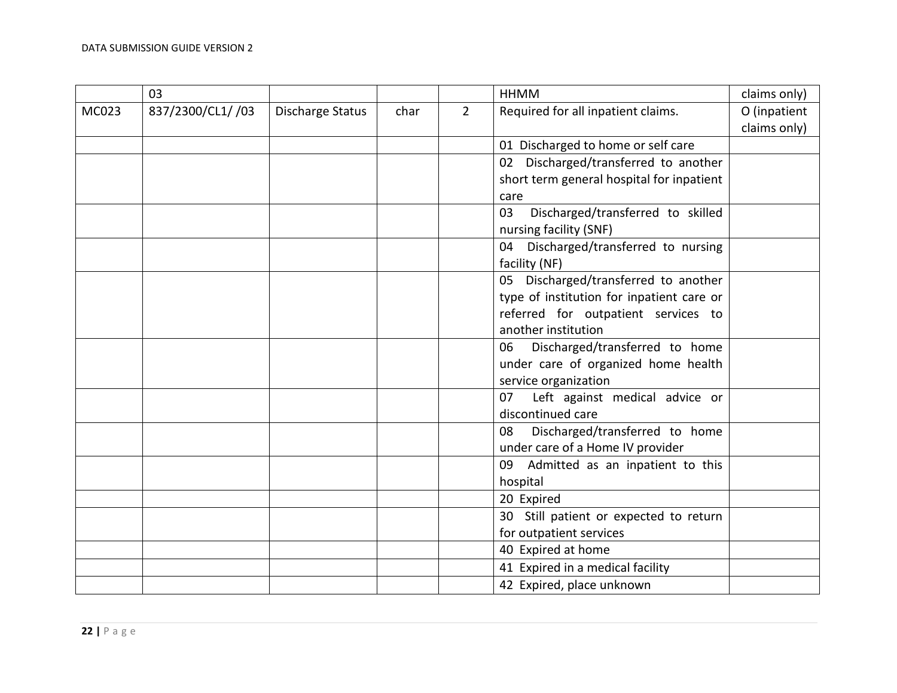|       | 03                |                  |      |                | <b>HHMM</b>                               | claims only) |
|-------|-------------------|------------------|------|----------------|-------------------------------------------|--------------|
| MC023 | 837/2300/CL1/ /03 | Discharge Status | char | $\overline{2}$ | Required for all inpatient claims.        | O (inpatient |
|       |                   |                  |      |                |                                           | claims only) |
|       |                   |                  |      |                | 01 Discharged to home or self care        |              |
|       |                   |                  |      |                | 02 Discharged/transferred to another      |              |
|       |                   |                  |      |                | short term general hospital for inpatient |              |
|       |                   |                  |      |                | care                                      |              |
|       |                   |                  |      |                | Discharged/transferred to skilled<br>03   |              |
|       |                   |                  |      |                | nursing facility (SNF)                    |              |
|       |                   |                  |      |                | 04 Discharged/transferred to nursing      |              |
|       |                   |                  |      |                | facility (NF)                             |              |
|       |                   |                  |      |                | 05 Discharged/transferred to another      |              |
|       |                   |                  |      |                | type of institution for inpatient care or |              |
|       |                   |                  |      |                | referred for outpatient services to       |              |
|       |                   |                  |      |                | another institution                       |              |
|       |                   |                  |      |                | Discharged/transferred to home<br>06      |              |
|       |                   |                  |      |                | under care of organized home health       |              |
|       |                   |                  |      |                | service organization                      |              |
|       |                   |                  |      |                | 07<br>Left against medical advice or      |              |
|       |                   |                  |      |                | discontinued care                         |              |
|       |                   |                  |      |                | Discharged/transferred to home<br>08      |              |
|       |                   |                  |      |                | under care of a Home IV provider          |              |
|       |                   |                  |      |                | 09 Admitted as an inpatient to this       |              |
|       |                   |                  |      |                | hospital                                  |              |
|       |                   |                  |      |                | 20 Expired                                |              |
|       |                   |                  |      |                | 30 Still patient or expected to return    |              |
|       |                   |                  |      |                | for outpatient services                   |              |
|       |                   |                  |      |                | 40 Expired at home                        |              |
|       |                   |                  |      |                | 41 Expired in a medical facility          |              |
|       |                   |                  |      |                | 42 Expired, place unknown                 |              |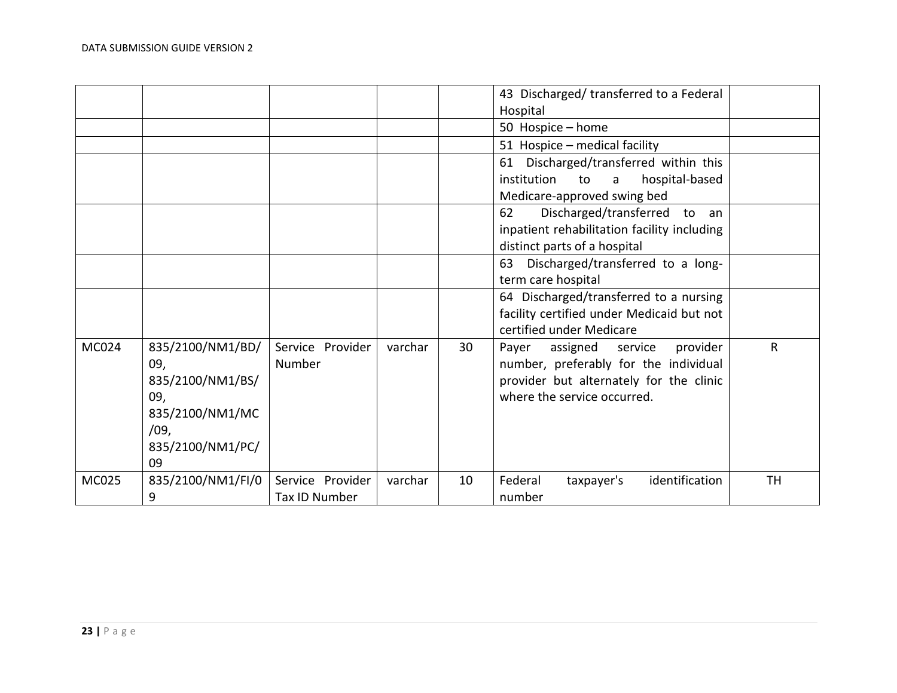|       |                                             |                            |         |    | 43 Discharged/ transferred to a Federal                                                                                      |              |
|-------|---------------------------------------------|----------------------------|---------|----|------------------------------------------------------------------------------------------------------------------------------|--------------|
|       |                                             |                            |         |    | Hospital                                                                                                                     |              |
|       |                                             |                            |         |    | 50 Hospice - home                                                                                                            |              |
|       |                                             |                            |         |    | 51 Hospice - medical facility                                                                                                |              |
|       |                                             |                            |         |    | Discharged/transferred within this<br>61                                                                                     |              |
|       |                                             |                            |         |    | institution<br>hospital-based<br>to<br>$\mathsf{a}$                                                                          |              |
|       |                                             |                            |         |    | Medicare-approved swing bed                                                                                                  |              |
|       |                                             |                            |         |    | Discharged/transferred to<br>62<br>an an                                                                                     |              |
|       |                                             |                            |         |    | inpatient rehabilitation facility including                                                                                  |              |
|       |                                             |                            |         |    | distinct parts of a hospital                                                                                                 |              |
|       |                                             |                            |         |    | Discharged/transferred to a long-<br>63                                                                                      |              |
|       |                                             |                            |         |    | term care hospital                                                                                                           |              |
|       |                                             |                            |         |    | 64 Discharged/transferred to a nursing                                                                                       |              |
|       |                                             |                            |         |    | facility certified under Medicaid but not                                                                                    |              |
|       |                                             |                            |         |    | certified under Medicare                                                                                                     |              |
| MC024 | 835/2100/NM1/BD/<br>09,<br>835/2100/NM1/BS/ | Service Provider<br>Number | varchar | 30 | Payer<br>assigned<br>provider<br>service<br>number, preferably for the individual<br>provider but alternately for the clinic | $\mathsf{R}$ |
|       | 09,                                         |                            |         |    | where the service occurred.                                                                                                  |              |
|       | 835/2100/NM1/MC                             |                            |         |    |                                                                                                                              |              |
|       | /09,                                        |                            |         |    |                                                                                                                              |              |
|       | 835/2100/NM1/PC/                            |                            |         |    |                                                                                                                              |              |
|       | 09                                          |                            |         |    |                                                                                                                              |              |
| MC025 | 835/2100/NM1/FI/0                           | Service Provider           | varchar | 10 | Federal<br>identification<br>taxpayer's                                                                                      | <b>TH</b>    |
|       | 9                                           | Tax ID Number              |         |    | number                                                                                                                       |              |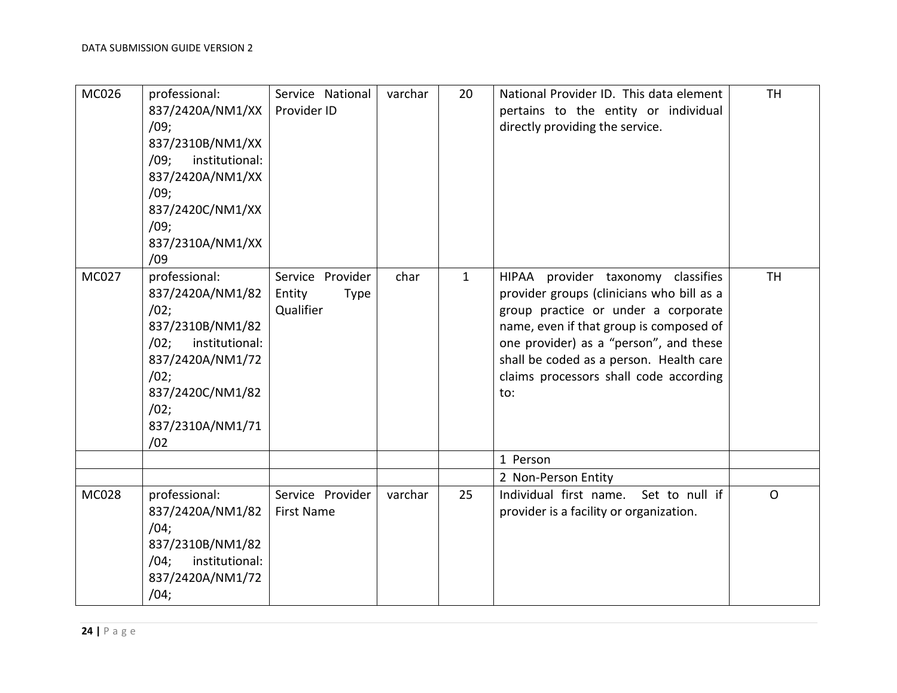| MC026        | professional:<br>837/2420A/NM1/XX<br>/09;<br>837/2310B/NM1/XX<br>/09:<br>institutional:<br>837/2420A/NM1/XX<br>/09;<br>837/2420C/NM1/XX<br>/09;<br>837/2310A/NM1/XX<br>/09    | Service National<br>Provider ID                 | varchar | 20           | National Provider ID. This data element<br>pertains to the entity or individual<br>directly providing the service.                                                                                                                                                                                                | <b>TH</b> |
|--------------|-------------------------------------------------------------------------------------------------------------------------------------------------------------------------------|-------------------------------------------------|---------|--------------|-------------------------------------------------------------------------------------------------------------------------------------------------------------------------------------------------------------------------------------------------------------------------------------------------------------------|-----------|
| MC027        | professional:<br>837/2420A/NM1/82<br>/02;<br>837/2310B/NM1/82<br>institutional:<br>$/02$ ;<br>837/2420A/NM1/72<br>/02;<br>837/2420C/NM1/82<br>/02;<br>837/2310A/NM1/71<br>/02 | Service Provider<br>Entity<br>Type<br>Qualifier | char    | $\mathbf{1}$ | provider taxonomy classifies<br><b>HIPAA</b><br>provider groups (clinicians who bill as a<br>group practice or under a corporate<br>name, even if that group is composed of<br>one provider) as a "person", and these<br>shall be coded as a person. Health care<br>claims processors shall code according<br>to: | <b>TH</b> |
|              |                                                                                                                                                                               |                                                 |         |              | 1 Person                                                                                                                                                                                                                                                                                                          |           |
|              |                                                                                                                                                                               |                                                 |         |              | 2 Non-Person Entity                                                                                                                                                                                                                                                                                               |           |
| <b>MC028</b> | professional:<br>837/2420A/NM1/82<br>/04;<br>837/2310B/NM1/82<br>institutional:<br>/04;<br>837/2420A/NM1/72<br>/04;                                                           | Service Provider<br><b>First Name</b>           | varchar | 25           | Individual first name.<br>Set to null if<br>provider is a facility or organization.                                                                                                                                                                                                                               | $\Omega$  |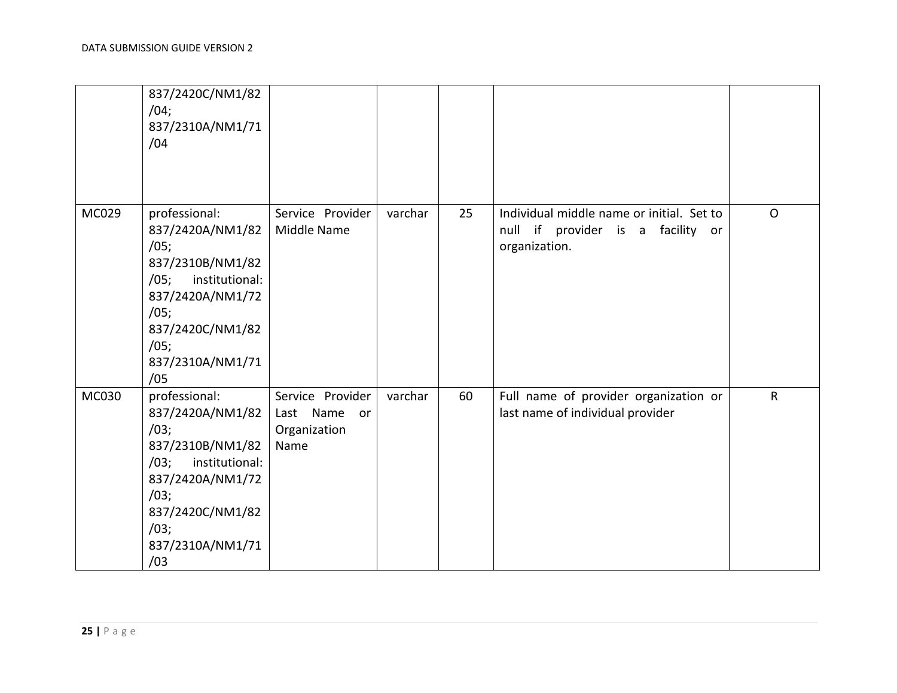|       | 837/2420C/NM1/82<br>/04;<br>837/2310A/NM1/71<br>/04                                                                                                                        |                                                             |         |    |                                                                                                 |              |
|-------|----------------------------------------------------------------------------------------------------------------------------------------------------------------------------|-------------------------------------------------------------|---------|----|-------------------------------------------------------------------------------------------------|--------------|
| MC029 | professional:<br>837/2420A/NM1/82<br>/05;<br>837/2310B/NM1/82<br>institutional:<br>/05;<br>837/2420A/NM1/72<br>/05;<br>837/2420C/NM1/82<br>/05;<br>837/2310A/NM1/71<br>/05 | Service Provider<br>Middle Name                             | varchar | 25 | Individual middle name or initial. Set to<br>null if provider is a facility or<br>organization. | $\mathsf{O}$ |
| MC030 | professional:<br>837/2420A/NM1/82<br>/03;<br>837/2310B/NM1/82<br>institutional:<br>/03;<br>837/2420A/NM1/72<br>/03;<br>837/2420C/NM1/82<br>/03;<br>837/2310A/NM1/71<br>/03 | Service Provider<br>Last Name<br>or<br>Organization<br>Name | varchar | 60 | Full name of provider organization or<br>last name of individual provider                       | $\mathsf R$  |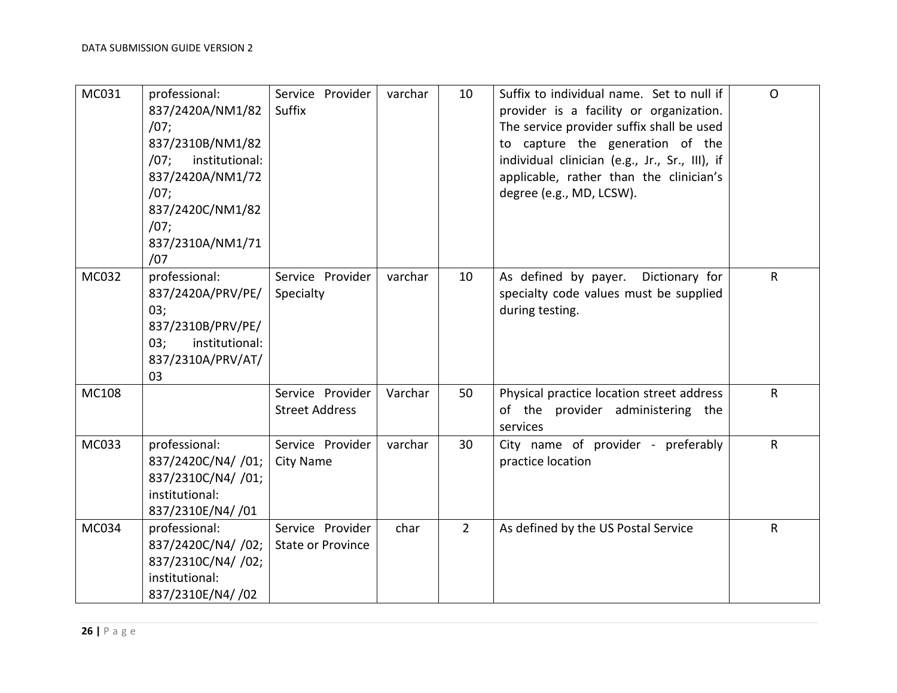| MC031 | professional:<br>837/2420A/NM1/82<br>/07;<br>837/2310B/NM1/82<br>institutional:<br>/07:<br>837/2420A/NM1/72<br>/07;<br>837/2420C/NM1/82<br>/07;<br>837/2310A/NM1/71<br>/07 | Service Provider<br><b>Suffix</b>            | varchar | 10          | Suffix to individual name. Set to null if<br>provider is a facility or organization.<br>The service provider suffix shall be used<br>to capture the generation of the<br>individual clinician (e.g., Jr., Sr., III), if<br>applicable, rather than the clinician's<br>degree (e.g., MD, LCSW). | $\Omega$     |
|-------|----------------------------------------------------------------------------------------------------------------------------------------------------------------------------|----------------------------------------------|---------|-------------|------------------------------------------------------------------------------------------------------------------------------------------------------------------------------------------------------------------------------------------------------------------------------------------------|--------------|
| MC032 | professional:<br>837/2420A/PRV/PE/<br>03;<br>837/2310B/PRV/PE/<br>institutional:<br>03;<br>837/2310A/PRV/AT/<br>03                                                         | Service Provider<br>Specialty                | varchar | 10          | As defined by payer.<br>Dictionary for<br>specialty code values must be supplied<br>during testing.                                                                                                                                                                                            | $\mathsf{R}$ |
| MC108 |                                                                                                                                                                            | Service Provider<br><b>Street Address</b>    | Varchar | 50          | Physical practice location street address<br>of the provider administering the<br>services                                                                                                                                                                                                     | $\mathsf{R}$ |
| MC033 | professional:<br>837/2420C/N4/ /01;<br>837/2310C/N4/ /01;<br>institutional:<br>837/2310E/N4/ /01                                                                           | Service Provider<br><b>City Name</b>         | varchar | 30          | City name of provider - preferably<br>practice location                                                                                                                                                                                                                                        | $\mathsf{R}$ |
| MC034 | professional:<br>837/2420C/N4/ /02;<br>837/2310C/N4/ /02;<br>institutional:<br>837/2310E/N4/ /02                                                                           | Service Provider<br><b>State or Province</b> | char    | $2^{\circ}$ | As defined by the US Postal Service                                                                                                                                                                                                                                                            | $\mathsf{R}$ |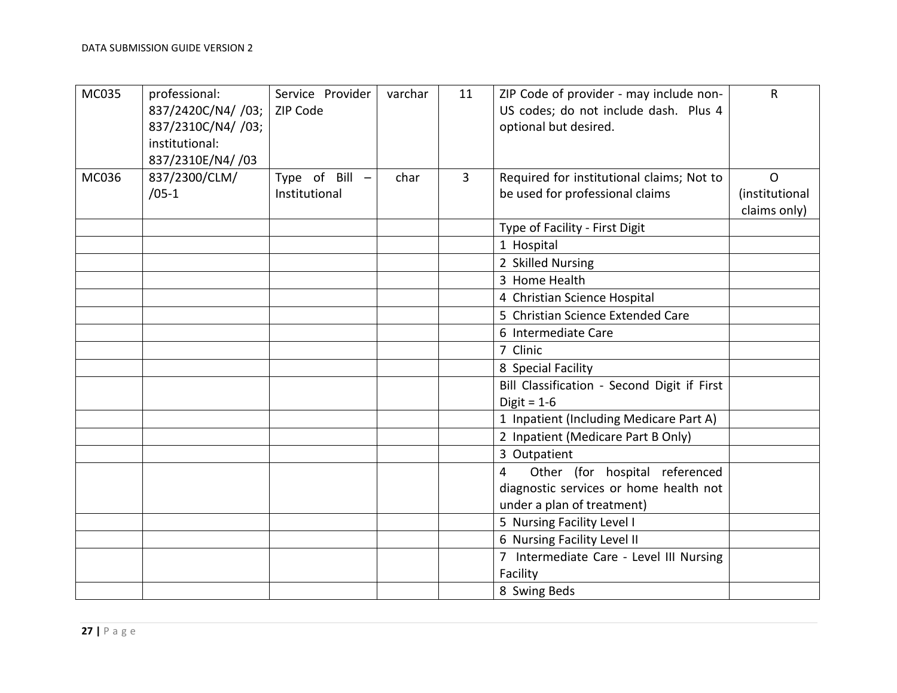| <b>MC035</b> | professional:<br>837/2420C/N4/ /03;<br>837/2310C/N4/ /03;<br>institutional:<br>837/2310E/N4/ /03 | Service Provider<br>ZIP Code | varchar | 11             | ZIP Code of provider - may include non-<br>US codes; do not include dash. Plus 4<br>optional but desired. | $\mathsf{R}$                   |
|--------------|--------------------------------------------------------------------------------------------------|------------------------------|---------|----------------|-----------------------------------------------------------------------------------------------------------|--------------------------------|
| MC036        | 837/2300/CLM/                                                                                    | Type of Bill -               | char    | $\overline{3}$ | Required for institutional claims; Not to                                                                 | $\mathsf{O}$                   |
|              | $/05 - 1$                                                                                        | Institutional                |         |                | be used for professional claims                                                                           | (institutional<br>claims only) |
|              |                                                                                                  |                              |         |                | Type of Facility - First Digit                                                                            |                                |
|              |                                                                                                  |                              |         |                | 1 Hospital                                                                                                |                                |
|              |                                                                                                  |                              |         |                | 2 Skilled Nursing                                                                                         |                                |
|              |                                                                                                  |                              |         |                | 3 Home Health                                                                                             |                                |
|              |                                                                                                  |                              |         |                | 4 Christian Science Hospital                                                                              |                                |
|              |                                                                                                  |                              |         |                | 5 Christian Science Extended Care                                                                         |                                |
|              |                                                                                                  |                              |         |                | 6 Intermediate Care                                                                                       |                                |
|              |                                                                                                  |                              |         |                | 7 Clinic                                                                                                  |                                |
|              |                                                                                                  |                              |         |                | 8 Special Facility                                                                                        |                                |
|              |                                                                                                  |                              |         |                | Bill Classification - Second Digit if First<br>Digit = $1-6$                                              |                                |
|              |                                                                                                  |                              |         |                | 1 Inpatient (Including Medicare Part A)                                                                   |                                |
|              |                                                                                                  |                              |         |                | 2 Inpatient (Medicare Part B Only)                                                                        |                                |
|              |                                                                                                  |                              |         |                | 3 Outpatient                                                                                              |                                |
|              |                                                                                                  |                              |         |                | Other (for hospital referenced<br>4                                                                       |                                |
|              |                                                                                                  |                              |         |                | diagnostic services or home health not                                                                    |                                |
|              |                                                                                                  |                              |         |                | under a plan of treatment)                                                                                |                                |
|              |                                                                                                  |                              |         |                | 5 Nursing Facility Level I                                                                                |                                |
|              |                                                                                                  |                              |         |                | 6 Nursing Facility Level II                                                                               |                                |
|              |                                                                                                  |                              |         |                | 7 Intermediate Care - Level III Nursing                                                                   |                                |
|              |                                                                                                  |                              |         |                | Facility                                                                                                  |                                |
|              |                                                                                                  |                              |         |                | 8 Swing Beds                                                                                              |                                |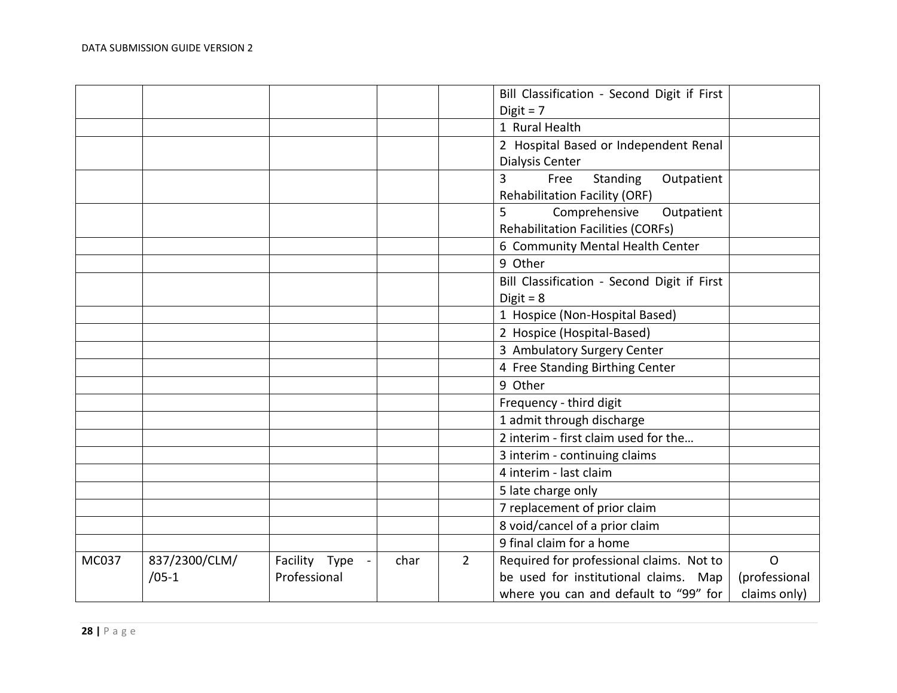|       |               |                 |      |                | Bill Classification - Second Digit if First      |               |
|-------|---------------|-----------------|------|----------------|--------------------------------------------------|---------------|
|       |               |                 |      |                | Digit = $7$                                      |               |
|       |               |                 |      |                | 1 Rural Health                                   |               |
|       |               |                 |      |                | 2 Hospital Based or Independent Renal            |               |
|       |               |                 |      |                | Dialysis Center                                  |               |
|       |               |                 |      |                | $\overline{3}$<br>Free<br>Standing<br>Outpatient |               |
|       |               |                 |      |                | <b>Rehabilitation Facility (ORF)</b>             |               |
|       |               |                 |      |                | 5<br>Comprehensive<br>Outpatient                 |               |
|       |               |                 |      |                | <b>Rehabilitation Facilities (CORFs)</b>         |               |
|       |               |                 |      |                | 6 Community Mental Health Center                 |               |
|       |               |                 |      |                | 9 Other                                          |               |
|       |               |                 |      |                | Bill Classification - Second Digit if First      |               |
|       |               |                 |      |                | Digit = $8$                                      |               |
|       |               |                 |      |                | 1 Hospice (Non-Hospital Based)                   |               |
|       |               |                 |      |                | 2 Hospice (Hospital-Based)                       |               |
|       |               |                 |      |                | 3 Ambulatory Surgery Center                      |               |
|       |               |                 |      |                | 4 Free Standing Birthing Center                  |               |
|       |               |                 |      |                | 9 Other                                          |               |
|       |               |                 |      |                | Frequency - third digit                          |               |
|       |               |                 |      |                | 1 admit through discharge                        |               |
|       |               |                 |      |                | 2 interim - first claim used for the             |               |
|       |               |                 |      |                | 3 interim - continuing claims                    |               |
|       |               |                 |      |                | 4 interim - last claim                           |               |
|       |               |                 |      |                | 5 late charge only                               |               |
|       |               |                 |      |                | 7 replacement of prior claim                     |               |
|       |               |                 |      |                | 8 void/cancel of a prior claim                   |               |
|       |               |                 |      |                | 9 final claim for a home                         |               |
| MC037 | 837/2300/CLM/ | Facility Type - | char | $\overline{2}$ | Required for professional claims. Not to         | $\mathsf{O}$  |
|       | $/05-1$       | Professional    |      |                | be used for institutional claims. Map            | (professional |
|       |               |                 |      |                | where you can and default to "99" for            | claims only)  |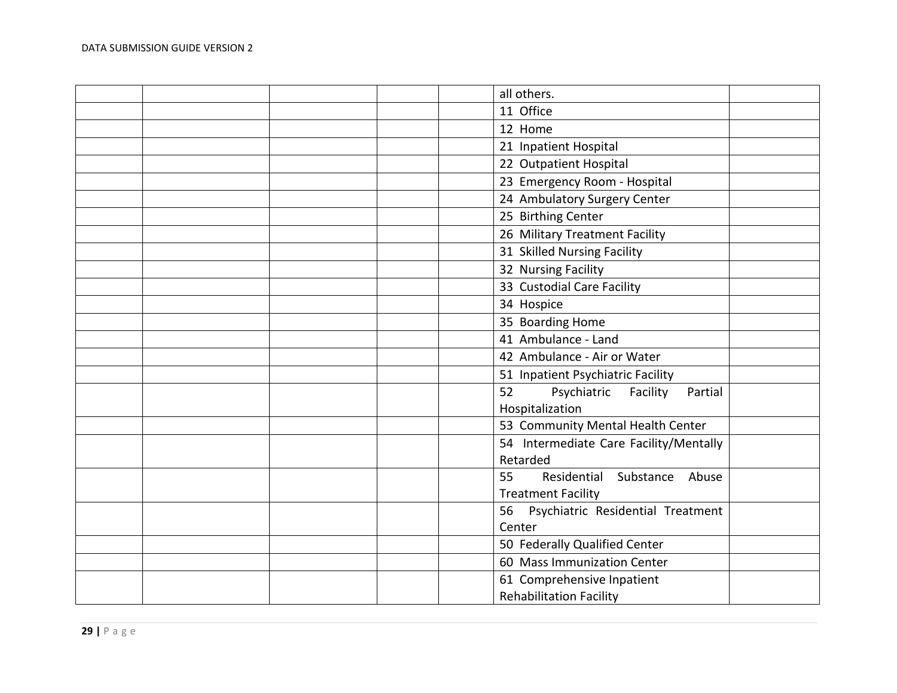|  | all others.                              |  |
|--|------------------------------------------|--|
|  | 11 Office                                |  |
|  | 12 Home                                  |  |
|  | 21 Inpatient Hospital                    |  |
|  | 22 Outpatient Hospital                   |  |
|  | 23 Emergency Room - Hospital             |  |
|  | 24 Ambulatory Surgery Center             |  |
|  | 25 Birthing Center                       |  |
|  | 26 Military Treatment Facility           |  |
|  | 31 Skilled Nursing Facility              |  |
|  | 32 Nursing Facility                      |  |
|  | 33 Custodial Care Facility               |  |
|  | 34 Hospice                               |  |
|  | 35 Boarding Home                         |  |
|  | 41 Ambulance - Land                      |  |
|  | 42 Ambulance - Air or Water              |  |
|  | 51 Inpatient Psychiatric Facility        |  |
|  | Psychiatric<br>52<br>Facility<br>Partial |  |
|  | Hospitalization                          |  |
|  | 53 Community Mental Health Center        |  |
|  | 54 Intermediate Care Facility/Mentally   |  |
|  | Retarded                                 |  |
|  | Residential Substance Abuse<br>55        |  |
|  | <b>Treatment Facility</b>                |  |
|  | Psychiatric Residential Treatment<br>56  |  |
|  | Center                                   |  |
|  | 50 Federally Qualified Center            |  |
|  | 60 Mass Immunization Center              |  |
|  | 61 Comprehensive Inpatient               |  |
|  | <b>Rehabilitation Facility</b>           |  |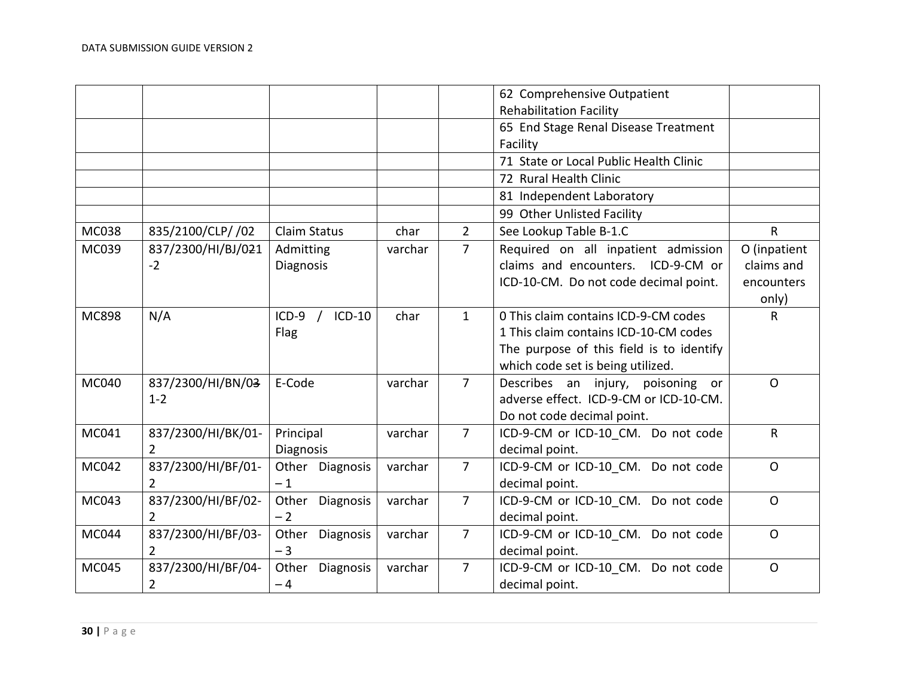|              |                    |                     |         |                | 62 Comprehensive Outpatient              |              |
|--------------|--------------------|---------------------|---------|----------------|------------------------------------------|--------------|
|              |                    |                     |         |                | <b>Rehabilitation Facility</b>           |              |
|              |                    |                     |         |                | 65 End Stage Renal Disease Treatment     |              |
|              |                    |                     |         |                | Facility                                 |              |
|              |                    |                     |         |                | 71 State or Local Public Health Clinic   |              |
|              |                    |                     |         |                | 72 Rural Health Clinic                   |              |
|              |                    |                     |         |                | 81 Independent Laboratory                |              |
|              |                    |                     |         |                | 99 Other Unlisted Facility               |              |
| MC038        | 835/2100/CLP/ /02  | <b>Claim Status</b> | char    | $2^{\circ}$    | See Lookup Table B-1.C                   | $\mathsf{R}$ |
| MC039        | 837/2300/HI/BJ/021 | Admitting           | varchar | $\overline{7}$ | Required on all inpatient admission      | O (inpatient |
|              | $-2$               | Diagnosis           |         |                | claims and encounters. ICD-9-CM or       | claims and   |
|              |                    |                     |         |                | ICD-10-CM. Do not code decimal point.    | encounters   |
|              |                    |                     |         |                |                                          | only)        |
| <b>MC898</b> | N/A                | $ICD-9$<br>ICD-10   | char    | $\mathbf{1}$   | 0 This claim contains ICD-9-CM codes     | R            |
|              |                    | Flag                |         |                | 1 This claim contains ICD-10-CM codes    |              |
|              |                    |                     |         |                | The purpose of this field is to identify |              |
|              |                    |                     |         |                | which code set is being utilized.        |              |
| MC040        | 837/2300/HI/BN/03  | E-Code              | varchar | $\overline{7}$ | Describes an injury, poisoning or        | $\Omega$     |
|              | $1 - 2$            |                     |         |                | adverse effect. ICD-9-CM or ICD-10-CM.   |              |
|              |                    |                     |         |                | Do not code decimal point.               |              |
| MC041        | 837/2300/HI/BK/01- | Principal           | varchar | $\overline{7}$ | ICD-9-CM or ICD-10 CM. Do not code       | $\mathsf{R}$ |
|              | $\overline{2}$     | <b>Diagnosis</b>    |         |                | decimal point.                           |              |
| MC042        | 837/2300/HI/BF/01- | Other Diagnosis     | varchar | $\overline{7}$ | ICD-9-CM or ICD-10 CM. Do not code       | $\mathsf{O}$ |
|              | $\overline{2}$     | $-1$                |         |                | decimal point.                           |              |
| MC043        | 837/2300/HI/BF/02- | Other Diagnosis     | varchar | $\overline{7}$ | ICD-9-CM or ICD-10 CM. Do not code       | $\mathsf{O}$ |
|              | $\overline{2}$     | $-2$                |         |                | decimal point.                           |              |
| MC044        | 837/2300/HI/BF/03- | Other Diagnosis     | varchar | $\overline{7}$ | ICD-9-CM or ICD-10 CM. Do not code       | $\Omega$     |
|              | $\overline{2}$     | $-3$                |         |                | decimal point.                           |              |
| MC045        | 837/2300/HI/BF/04- | Other Diagnosis     | varchar | $\overline{7}$ | ICD-9-CM or ICD-10 CM. Do not code       | $\mathsf{O}$ |
|              | $\overline{2}$     | $-4$                |         |                | decimal point.                           |              |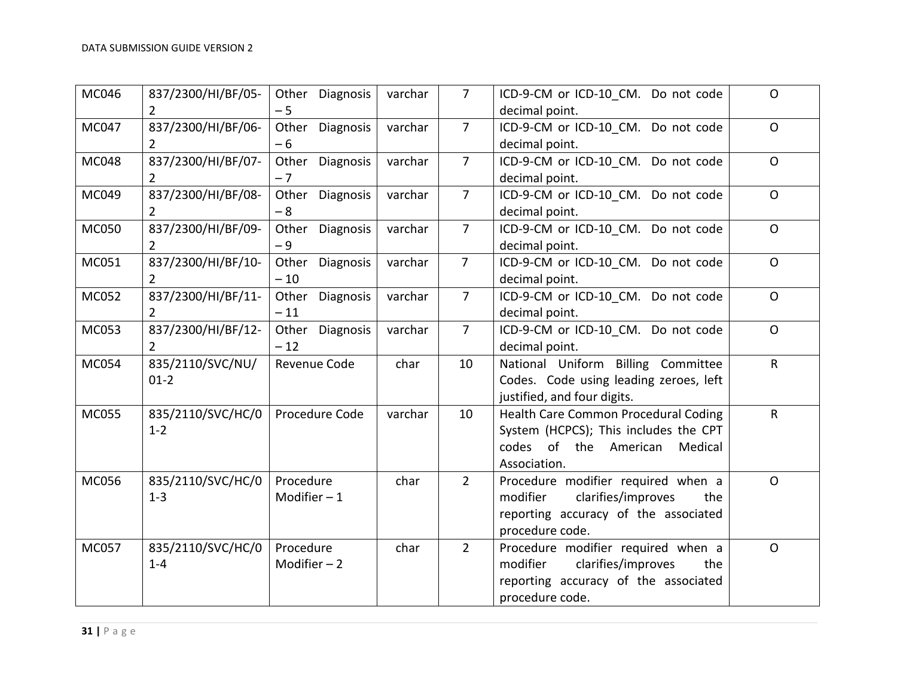| MC046        | 837/2300/HI/BF/05-<br>$\mathbf{2}^{\prime}$ | Other Diagnosis<br>$-5$     | varchar | $\overline{7}$ | ICD-9-CM or ICD-10 CM. Do not code<br>decimal point.                                                                                   | $\mathsf{O}$ |
|--------------|---------------------------------------------|-----------------------------|---------|----------------|----------------------------------------------------------------------------------------------------------------------------------------|--------------|
| MC047        | 837/2300/HI/BF/06-<br>$2^{\circ}$           | Other<br>Diagnosis<br>$-6$  | varchar | $\overline{7}$ | ICD-9-CM or ICD-10 CM. Do not code<br>decimal point.                                                                                   | $\mathsf{O}$ |
| <b>MC048</b> | 837/2300/HI/BF/07-<br>$\mathbf{2}$          | Other<br>Diagnosis<br>$-7$  | varchar | $\overline{7}$ | ICD-9-CM or ICD-10 CM. Do not code<br>decimal point.                                                                                   | $\mathsf{O}$ |
| MC049        | 837/2300/HI/BF/08-<br>$2^{\circ}$           | Other<br>Diagnosis<br>$-8$  | varchar | $\overline{7}$ | ICD-9-CM or ICD-10 CM. Do not code<br>decimal point.                                                                                   | $\mathsf O$  |
| <b>MC050</b> | 837/2300/HI/BF/09-<br>2                     | Other<br>Diagnosis<br>$-9$  | varchar | $\overline{7}$ | ICD-9-CM or ICD-10 CM. Do not code<br>decimal point.                                                                                   | $\mathsf{O}$ |
| MC051        | 837/2300/HI/BF/10-<br>$\mathbf{2}$          | Other Diagnosis<br>$-10$    | varchar | $\overline{7}$ | ICD-9-CM or ICD-10 CM. Do not code<br>decimal point.                                                                                   | $\mathsf{O}$ |
| MC052        | 837/2300/HI/BF/11-<br>$\overline{2}$        | Diagnosis<br>Other<br>$-11$ | varchar | $\overline{7}$ | ICD-9-CM or ICD-10_CM. Do not code<br>decimal point.                                                                                   | $\mathsf{O}$ |
| MC053        | 837/2300/HI/BF/12-<br>$\overline{2}$        | Other<br>Diagnosis<br>$-12$ | varchar | $\overline{7}$ | ICD-9-CM or ICD-10 CM. Do not code<br>decimal point.                                                                                   | $\mathsf O$  |
| <b>MC054</b> | 835/2110/SVC/NU/<br>$01 - 2$                | Revenue Code                | char    | 10             | National Uniform Billing Committee<br>Codes. Code using leading zeroes, left<br>justified, and four digits.                            | $\mathsf{R}$ |
| <b>MC055</b> | 835/2110/SVC/HC/0<br>$1 - 2$                | Procedure Code              | varchar | 10             | Health Care Common Procedural Coding<br>System (HCPCS); This includes the CPT<br>codes of the American<br>Medical<br>Association.      | $\mathsf{R}$ |
| MC056        | 835/2110/SVC/HC/0<br>$1 - 3$                | Procedure<br>Modifier $-1$  | char    | $2^{\circ}$    | Procedure modifier required when a<br>clarifies/improves<br>modifier<br>the<br>reporting accuracy of the associated<br>procedure code. | $\mathsf{O}$ |
| <b>MC057</b> | 835/2110/SVC/HC/0<br>$1 - 4$                | Procedure<br>Modifier $-2$  | char    | $2^{\circ}$    | Procedure modifier required when a<br>clarifies/improves<br>modifier<br>the<br>reporting accuracy of the associated<br>procedure code. | $\mathsf{O}$ |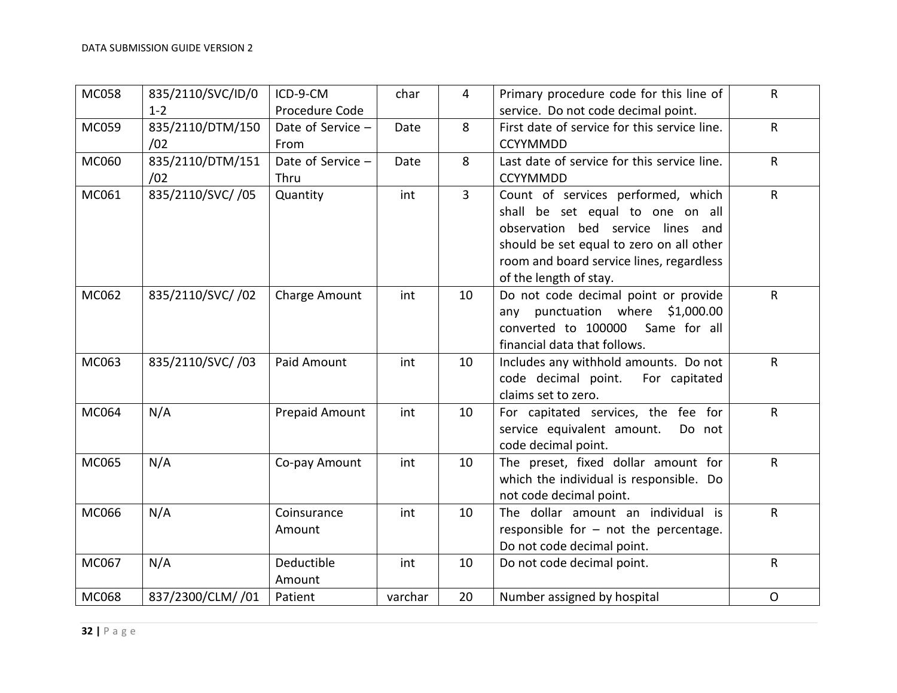| <b>MC058</b> | 835/2110/SVC/ID/0<br>$1 - 2$ | ICD-9-CM<br>Procedure Code | char    | $\overline{4}$ | Primary procedure code for this line of<br>service. Do not code decimal point.                                                                                                                                                | R            |
|--------------|------------------------------|----------------------------|---------|----------------|-------------------------------------------------------------------------------------------------------------------------------------------------------------------------------------------------------------------------------|--------------|
| MC059        | 835/2110/DTM/150<br>/02      | Date of Service -<br>From  | Date    | 8              | First date of service for this service line.<br><b>CCYYMMDD</b>                                                                                                                                                               | R            |
| MC060        | 835/2110/DTM/151<br>/02      | Date of Service -<br>Thru  | Date    | 8              | Last date of service for this service line.<br><b>CCYYMMDD</b>                                                                                                                                                                | $\mathsf{R}$ |
| MC061        | 835/2110/SVC//05             | Quantity                   | int     | $\overline{3}$ | Count of services performed, which<br>shall be set equal to one on all<br>observation bed service lines and<br>should be set equal to zero on all other<br>room and board service lines, regardless<br>of the length of stay. | $\mathsf{R}$ |
| MC062        | 835/2110/SVC/ /02            | Charge Amount              | int     | 10             | Do not code decimal point or provide<br>any punctuation where \$1,000.00<br>converted to 100000<br>Same for all<br>financial data that follows.                                                                               | $\mathsf{R}$ |
| MC063        | 835/2110/SVC//03             | Paid Amount                | int     | 10             | Includes any withhold amounts. Do not<br>code decimal point.<br>For capitated<br>claims set to zero.                                                                                                                          | R            |
| MC064        | N/A                          | Prepaid Amount             | int     | 10             | For capitated services, the fee for<br>service equivalent amount.<br>Do not<br>code decimal point.                                                                                                                            | $\mathsf{R}$ |
| MC065        | N/A                          | Co-pay Amount              | int     | 10             | The preset, fixed dollar amount for<br>which the individual is responsible. Do<br>not code decimal point.                                                                                                                     | ${\sf R}$    |
| MC066        | N/A                          | Coinsurance<br>Amount      | int     | 10             | The dollar amount an individual is<br>responsible for $-$ not the percentage.<br>Do not code decimal point.                                                                                                                   | $\mathsf{R}$ |
| MC067        | N/A                          | Deductible<br>Amount       | int     | 10             | Do not code decimal point.                                                                                                                                                                                                    | $\mathsf{R}$ |
| MC068        | 837/2300/CLM/ /01            | Patient                    | varchar | 20             | Number assigned by hospital                                                                                                                                                                                                   | $\mathsf{O}$ |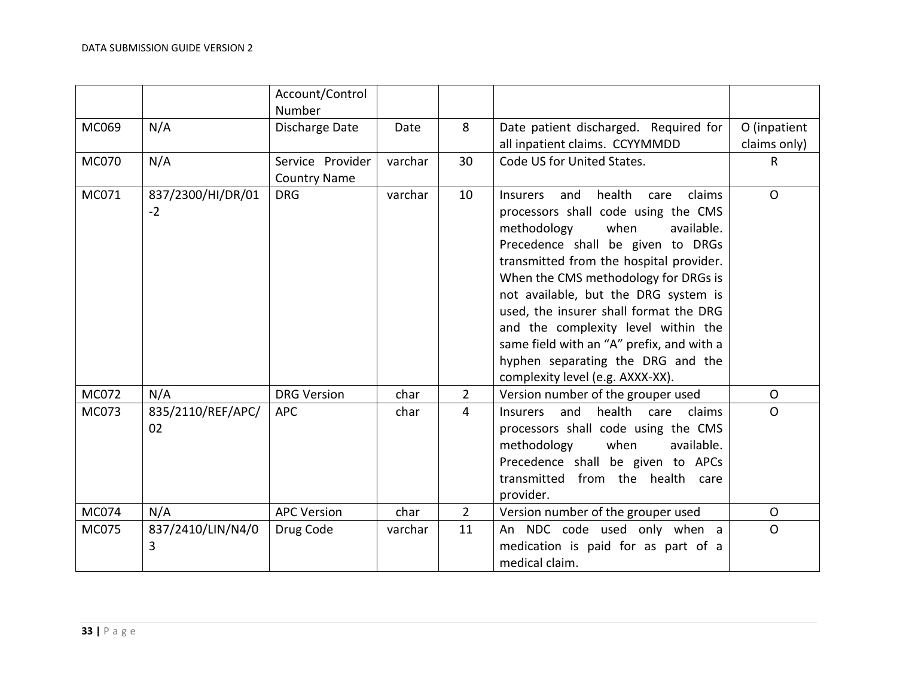|       |                           | Account/Control<br>Number               |         |                |                                                                                                                                                                                                                                                                                                                                                                                                                                                                                                       |                              |
|-------|---------------------------|-----------------------------------------|---------|----------------|-------------------------------------------------------------------------------------------------------------------------------------------------------------------------------------------------------------------------------------------------------------------------------------------------------------------------------------------------------------------------------------------------------------------------------------------------------------------------------------------------------|------------------------------|
| MC069 | N/A                       | Discharge Date                          | Date    | 8              | Date patient discharged. Required for<br>all inpatient claims. CCYYMMDD                                                                                                                                                                                                                                                                                                                                                                                                                               | O (inpatient<br>claims only) |
| MC070 | N/A                       | Service Provider<br><b>Country Name</b> | varchar | 30             | Code US for United States.                                                                                                                                                                                                                                                                                                                                                                                                                                                                            | $\mathsf{R}$                 |
| MC071 | 837/2300/HI/DR/01<br>$-2$ | <b>DRG</b>                              | varchar | 10             | <b>Insurers</b><br>health<br>claims<br>and<br>care<br>processors shall code using the CMS<br>methodology<br>when<br>available.<br>Precedence shall be given to DRGs<br>transmitted from the hospital provider.<br>When the CMS methodology for DRGs is<br>not available, but the DRG system is<br>used, the insurer shall format the DRG<br>and the complexity level within the<br>same field with an "A" prefix, and with a<br>hyphen separating the DRG and the<br>complexity level (e.g. AXXX-XX). | $\mathsf{O}$                 |
| MC072 | N/A                       | <b>DRG Version</b>                      | char    | $\overline{2}$ | Version number of the grouper used                                                                                                                                                                                                                                                                                                                                                                                                                                                                    | $\mathsf{O}$                 |
| MC073 | 835/2110/REF/APC/<br>02   | <b>APC</b>                              | char    | $\overline{4}$ | health<br>and<br><b>Insurers</b><br>care<br>claims<br>processors shall code using the CMS<br>methodology<br>when<br>available.<br>Precedence shall be given to APCs<br>transmitted from the health care<br>provider.                                                                                                                                                                                                                                                                                  | $\mathsf{O}$                 |
| MC074 | N/A                       | <b>APC Version</b>                      | char    | $2^{\circ}$    | Version number of the grouper used                                                                                                                                                                                                                                                                                                                                                                                                                                                                    | $\mathsf{O}$                 |
| MC075 | 837/2410/LIN/N4/0<br>3    | Drug Code                               | varchar | 11             | An NDC code used only when a<br>medication is paid for as part of a<br>medical claim.                                                                                                                                                                                                                                                                                                                                                                                                                 | $\mathsf{O}$                 |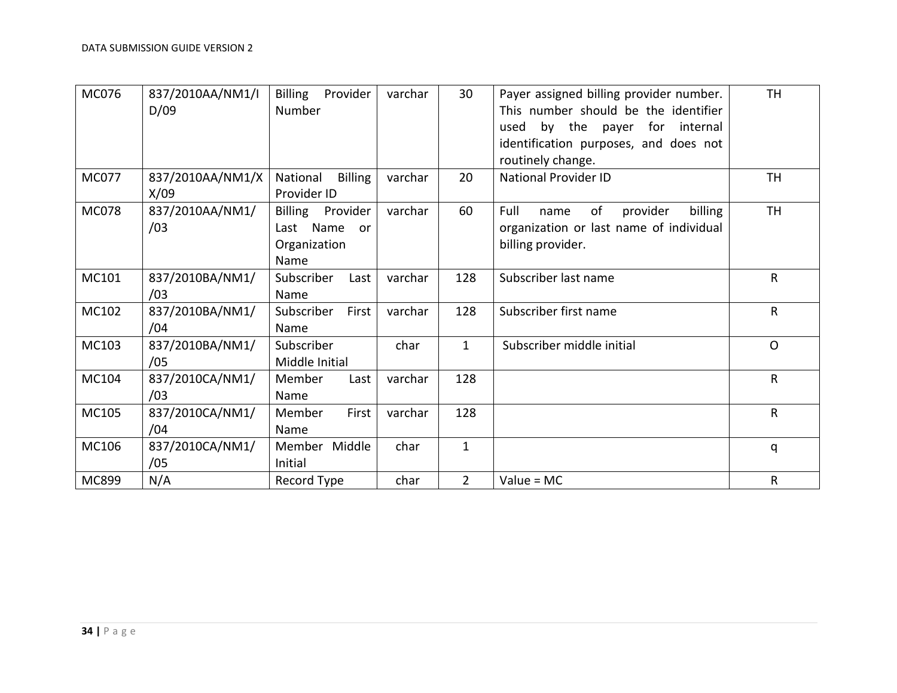| MC076        | 837/2010AA/NM1/I | <b>Billing</b><br>Provider | varchar | 30             | Payer assigned billing provider number.   | <b>TH</b>    |
|--------------|------------------|----------------------------|---------|----------------|-------------------------------------------|--------------|
|              | D/09             | Number                     |         |                | This number should be the identifier      |              |
|              |                  |                            |         |                | by the payer<br>for<br>internal<br>used   |              |
|              |                  |                            |         |                | identification purposes, and does not     |              |
|              |                  |                            |         |                | routinely change.                         |              |
| <b>MC077</b> | 837/2010AA/NM1/X | National<br><b>Billing</b> | varchar | 20             | <b>National Provider ID</b>               | TН           |
|              | X/09             | Provider ID                |         |                |                                           |              |
| <b>MC078</b> | 837/2010AA/NM1/  | <b>Billing</b><br>Provider | varchar | 60             | Full<br>billing<br>of<br>provider<br>name | <b>TH</b>    |
|              | /03              | Name<br>Last<br>or         |         |                | organization or last name of individual   |              |
|              |                  | Organization               |         |                | billing provider.                         |              |
|              |                  | Name                       |         |                |                                           |              |
| MC101        | 837/2010BA/NM1/  | Subscriber<br>Last         | varchar | 128            | Subscriber last name                      | R            |
|              | /03              | Name                       |         |                |                                           |              |
| MC102        | 837/2010BA/NM1/  | Subscriber<br>First        | varchar | 128            | Subscriber first name                     | R            |
|              | /04              | Name                       |         |                |                                           |              |
| MC103        | 837/2010BA/NM1/  | Subscriber                 | char    | $\mathbf{1}$   | Subscriber middle initial                 | $\mathsf{O}$ |
|              | /05              | Middle Initial             |         |                |                                           |              |
| MC104        | 837/2010CA/NM1/  | Member<br>Last             | varchar | 128            |                                           | $\mathsf{R}$ |
|              | /03              | Name                       |         |                |                                           |              |
| MC105        | 837/2010CA/NM1/  | First<br>Member            | varchar | 128            |                                           | $\mathsf{R}$ |
|              | /04              | Name                       |         |                |                                           |              |
| MC106        | 837/2010CA/NM1/  | Member Middle              | char    | $\mathbf{1}$   |                                           | q            |
|              | /05              | Initial                    |         |                |                                           |              |
| MC899        | N/A              | Record Type                | char    | $\overline{2}$ | $Value = MC$                              | R            |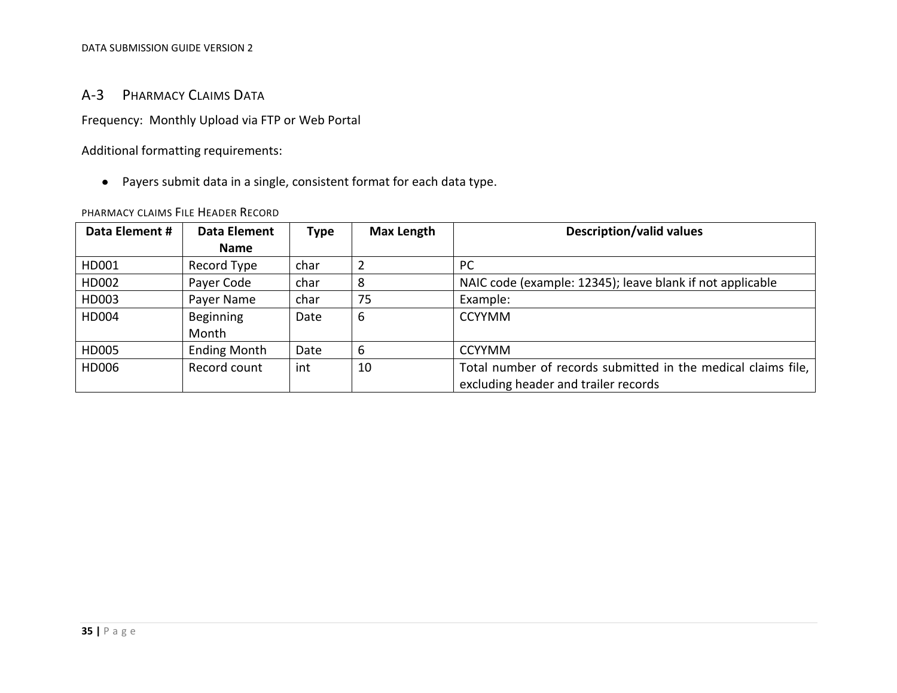#### DATA SUBMISSION GUIDE VERSION 2

#### A-3 PHARMACY CLAIMS DATA

Frequency: Monthly Upload via FTP or Web Portal

Additional formatting requirements:

Payers submit data in a single, consistent format for each data type.

#### PHARMACY CLAIMS FILE HEADER RECORD

<span id="page-34-1"></span><span id="page-34-0"></span>

| Data Element # | Data Element        | Type | Max Length | <b>Description/valid values</b>                               |
|----------------|---------------------|------|------------|---------------------------------------------------------------|
|                | <b>Name</b>         |      |            |                                                               |
| HD001          | Record Type         | char |            | <b>PC</b>                                                     |
| HD002          | Payer Code          | char | 8          | NAIC code (example: 12345); leave blank if not applicable     |
| HD003          | Payer Name          | char | 75         | Example:                                                      |
| HD004          | Beginning           | Date | 6          | <b>CCYYMM</b>                                                 |
|                | Month               |      |            |                                                               |
| HD005          | <b>Ending Month</b> | Date | 6          | <b>CCYYMM</b>                                                 |
| HD006          | Record count        | int  | 10         | Total number of records submitted in the medical claims file, |
|                |                     |      |            | excluding header and trailer records                          |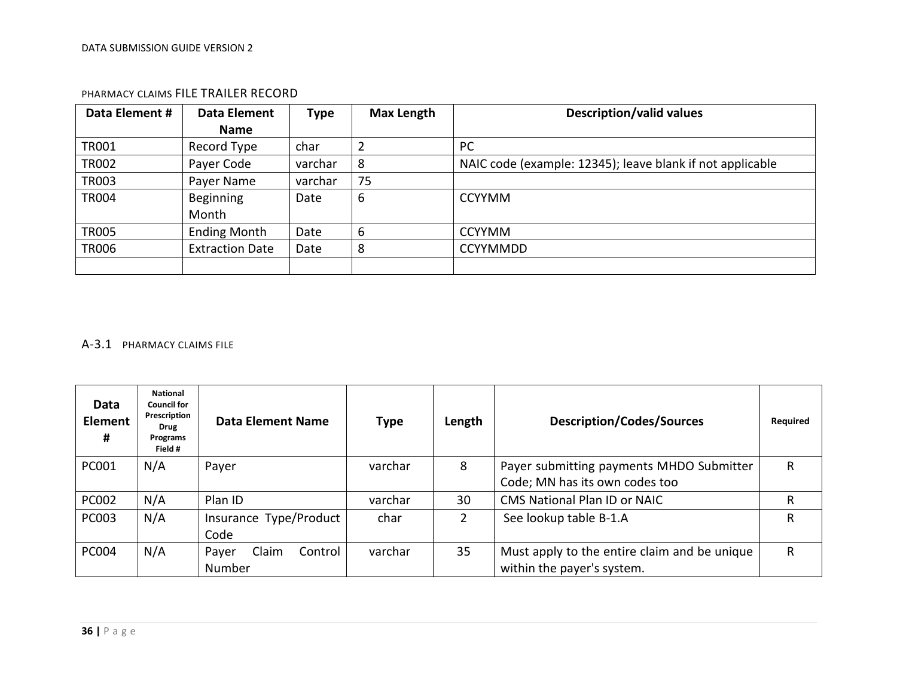| Data Element # | Data Element           | <b>Type</b> | <b>Max Length</b> | <b>Description/valid values</b>                           |
|----------------|------------------------|-------------|-------------------|-----------------------------------------------------------|
|                | <b>Name</b>            |             |                   |                                                           |
| <b>TR001</b>   | Record Type            | char        | $\overline{2}$    | PC                                                        |
| <b>TR002</b>   | Payer Code             | varchar     | 8                 | NAIC code (example: 12345); leave blank if not applicable |
| <b>TR003</b>   | Payer Name             | varchar     | 75                |                                                           |
| <b>TR004</b>   | Beginning<br>Month     | Date        | 6                 | <b>CCYYMM</b>                                             |
| <b>TR005</b>   | <b>Ending Month</b>    | Date        | 6                 | <b>CCYYMM</b>                                             |
| <b>TR006</b>   | <b>Extraction Date</b> | Date        | 8                 | <b>CCYYMMDD</b>                                           |
|                |                        |             |                   |                                                           |

#### PHARMACY CLAIMS FILE TRAILER RECORD

#### <span id="page-35-0"></span>A-3.1 PHARMACY CLAIMS FILE

<span id="page-35-1"></span>

| Data<br><b>Element</b><br># | <b>National</b><br><b>Council for</b><br>Prescription<br>Drug<br>Programs<br>Field # | <b>Data Element Name</b>            | <b>Type</b> | Length | <b>Description/Codes/Sources</b>                                           | Required |
|-----------------------------|--------------------------------------------------------------------------------------|-------------------------------------|-------------|--------|----------------------------------------------------------------------------|----------|
| PC001                       | N/A                                                                                  | Payer                               | varchar     | 8      | Payer submitting payments MHDO Submitter<br>Code; MN has its own codes too | R        |
| <b>PC002</b>                | N/A                                                                                  | Plan ID                             | varchar     | 30     | <b>CMS National Plan ID or NAIC</b>                                        | R        |
| <b>PC003</b>                | N/A                                                                                  | Insurance Type/Product<br>Code      | char        |        | See lookup table B-1.A                                                     | R        |
| <b>PC004</b>                | N/A                                                                                  | Claim<br>Control<br>Payer<br>Number | varchar     | 35     | Must apply to the entire claim and be unique<br>within the payer's system. | R        |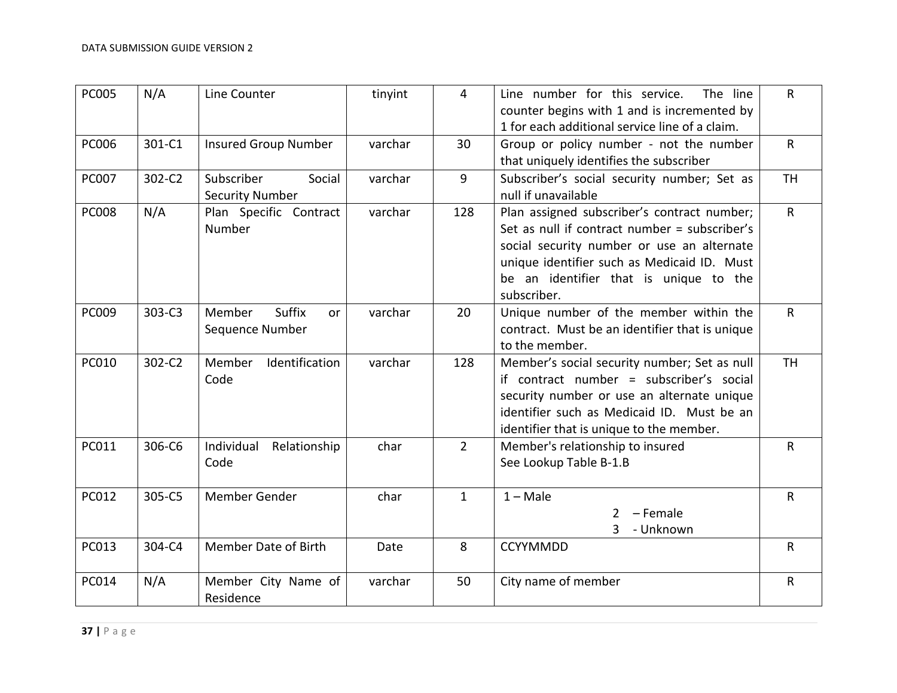| <b>PC005</b> | N/A    | Line Counter                                     | tinyint | 4            | Line number for this service.<br>The line<br>counter begins with 1 and is incremented by<br>1 for each additional service line of a claim.                                                                                                         | $\mathsf{R}$ |
|--------------|--------|--------------------------------------------------|---------|--------------|----------------------------------------------------------------------------------------------------------------------------------------------------------------------------------------------------------------------------------------------------|--------------|
| <b>PC006</b> | 301-C1 | <b>Insured Group Number</b>                      | varchar | 30           | Group or policy number - not the number<br>that uniquely identifies the subscriber                                                                                                                                                                 | $\mathsf{R}$ |
| <b>PC007</b> | 302-C2 | Subscriber<br>Social<br><b>Security Number</b>   | varchar | 9            | Subscriber's social security number; Set as<br>null if unavailable                                                                                                                                                                                 | <b>TH</b>    |
| <b>PC008</b> | N/A    | Plan Specific Contract<br>Number                 | varchar | 128          | Plan assigned subscriber's contract number;<br>Set as null if contract number = subscriber's<br>social security number or use an alternate<br>unique identifier such as Medicaid ID. Must<br>be an identifier that is unique to the<br>subscriber. | $\mathsf{R}$ |
| PC009        | 303-C3 | <b>Suffix</b><br>Member<br>or<br>Sequence Number | varchar | 20           | Unique number of the member within the<br>contract. Must be an identifier that is unique<br>to the member.                                                                                                                                         | $\mathsf{R}$ |
| <b>PC010</b> | 302-C2 | Identification<br>Member<br>Code                 | varchar | 128          | Member's social security number; Set as null<br>if contract number = subscriber's social<br>security number or use an alternate unique<br>identifier such as Medicaid ID. Must be an<br>identifier that is unique to the member.                   | <b>TH</b>    |
| PC011        | 306-C6 | Individual<br>Relationship<br>Code               | char    | $2^{\circ}$  | Member's relationship to insured<br>See Lookup Table B-1.B                                                                                                                                                                                         | $\mathsf{R}$ |
| PC012        | 305-C5 | Member Gender                                    | char    | $\mathbf{1}$ | $1 - Male$<br>$2 -$ Female<br>3 - Unknown                                                                                                                                                                                                          | $\mathsf{R}$ |
| PC013        | 304-C4 | Member Date of Birth                             | Date    | 8            | <b>CCYYMMDD</b>                                                                                                                                                                                                                                    | R            |
| PC014        | N/A    | Member City Name of<br>Residence                 | varchar | 50           | City name of member                                                                                                                                                                                                                                | R            |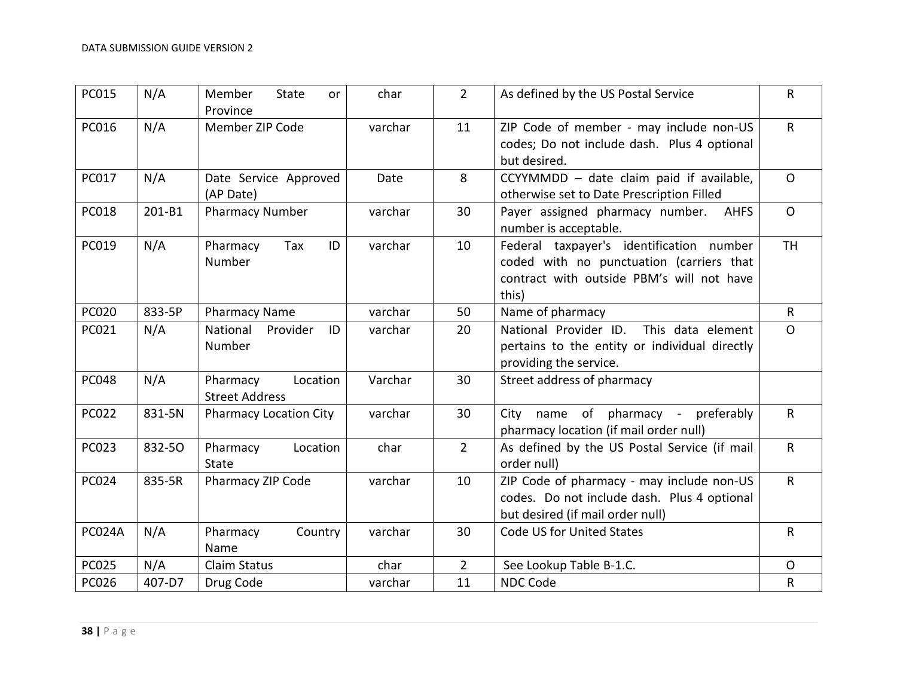| <b>PC015</b>  | N/A    | Member<br><b>State</b><br>or<br>Province      | char    | $2^{\circ}$ | As defined by the US Postal Service                                                                                                        | $\mathsf{R}$ |
|---------------|--------|-----------------------------------------------|---------|-------------|--------------------------------------------------------------------------------------------------------------------------------------------|--------------|
| PC016         | N/A    | Member ZIP Code                               | varchar | 11          | ZIP Code of member - may include non-US<br>codes; Do not include dash. Plus 4 optional<br>but desired.                                     | $\mathsf{R}$ |
| PC017         | N/A    | Date Service Approved<br>(AP Date)            | Date    | 8           | CCYYMMDD - date claim paid if available,<br>otherwise set to Date Prescription Filled                                                      | $\Omega$     |
| <b>PC018</b>  | 201-B1 | <b>Pharmacy Number</b>                        | varchar | 30          | Payer assigned pharmacy number.<br><b>AHFS</b><br>number is acceptable.                                                                    | $\mathsf{O}$ |
| PC019         | N/A    | Pharmacy<br>Tax<br>ID<br>Number               | varchar | 10          | Federal taxpayer's identification number<br>coded with no punctuation (carriers that<br>contract with outside PBM's will not have<br>this) | <b>TH</b>    |
| <b>PC020</b>  | 833-5P | <b>Pharmacy Name</b>                          | varchar | 50          | Name of pharmacy                                                                                                                           | $\mathsf{R}$ |
| PC021         | N/A    | National<br>Provider<br>ID<br>Number          | varchar | 20          | National Provider ID.<br>This data element<br>pertains to the entity or individual directly<br>providing the service.                      | $\mathsf{O}$ |
| <b>PC048</b>  | N/A    | Pharmacy<br>Location<br><b>Street Address</b> | Varchar | 30          | Street address of pharmacy                                                                                                                 |              |
| <b>PC022</b>  | 831-5N | <b>Pharmacy Location City</b>                 | varchar | 30          | name of pharmacy - preferably<br>City<br>pharmacy location (if mail order null)                                                            | $\mathsf{R}$ |
| PC023         | 832-50 | Pharmacy<br>Location<br><b>State</b>          | char    | $2^{\circ}$ | As defined by the US Postal Service (if mail<br>order null)                                                                                | $\mathsf{R}$ |
| <b>PC024</b>  | 835-5R | Pharmacy ZIP Code                             | varchar | 10          | ZIP Code of pharmacy - may include non-US<br>codes. Do not include dash. Plus 4 optional<br>but desired (if mail order null)               | $\mathsf{R}$ |
| <b>PC024A</b> | N/A    | Pharmacy<br>Country<br>Name                   | varchar | 30          | Code US for United States                                                                                                                  | $\mathsf{R}$ |
| <b>PC025</b>  | N/A    | <b>Claim Status</b>                           | char    | $2^{\circ}$ | See Lookup Table B-1.C.                                                                                                                    | $\mathsf{O}$ |
| <b>PC026</b>  | 407-D7 | Drug Code                                     | varchar | 11          | NDC Code                                                                                                                                   | ${\sf R}$    |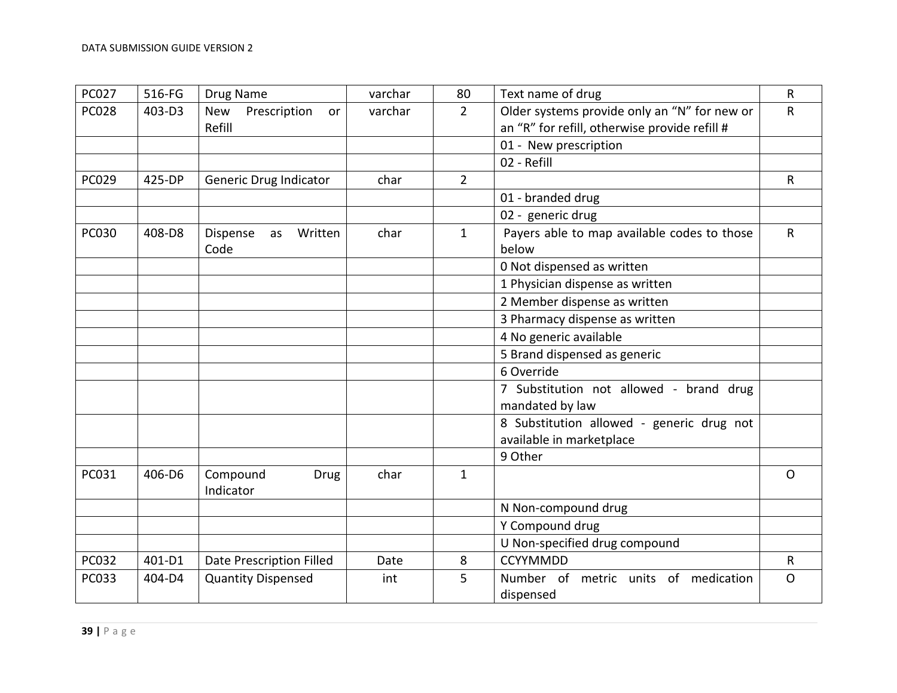| <b>PC027</b> | 516-FG | Drug Name                                  | varchar | 80             | Text name of drug                                                                             | $\mathsf R$  |
|--------------|--------|--------------------------------------------|---------|----------------|-----------------------------------------------------------------------------------------------|--------------|
| <b>PC028</b> | 403-D3 | <b>New</b><br>Prescription<br>or<br>Refill | varchar | $\overline{2}$ | Older systems provide only an "N" for new or<br>an "R" for refill, otherwise provide refill # | R            |
|              |        |                                            |         |                | 01 - New prescription                                                                         |              |
|              |        |                                            |         |                | 02 - Refill                                                                                   |              |
| PC029        | 425-DP | <b>Generic Drug Indicator</b>              | char    | $\overline{2}$ |                                                                                               | $\mathsf{R}$ |
|              |        |                                            |         |                | 01 - branded drug                                                                             |              |
|              |        |                                            |         |                | 02 - generic drug                                                                             |              |
| <b>PC030</b> | 408-D8 | Dispense<br>Written<br>as                  | char    | $\mathbf{1}$   | Payers able to map available codes to those                                                   | $\mathsf{R}$ |
|              |        | Code                                       |         |                | below                                                                                         |              |
|              |        |                                            |         |                | 0 Not dispensed as written                                                                    |              |
|              |        |                                            |         |                | 1 Physician dispense as written                                                               |              |
|              |        |                                            |         |                | 2 Member dispense as written                                                                  |              |
|              |        |                                            |         |                | 3 Pharmacy dispense as written                                                                |              |
|              |        |                                            |         |                | 4 No generic available                                                                        |              |
|              |        |                                            |         |                | 5 Brand dispensed as generic                                                                  |              |
|              |        |                                            |         |                | 6 Override                                                                                    |              |
|              |        |                                            |         |                | 7 Substitution not allowed - brand drug<br>mandated by law                                    |              |
|              |        |                                            |         |                | 8 Substitution allowed - generic drug not<br>available in marketplace                         |              |
|              |        |                                            |         |                | 9 Other                                                                                       |              |
| PC031        | 406-D6 | Compound<br>Drug<br>Indicator              | char    | $\mathbf{1}$   |                                                                                               | $\mathsf{O}$ |
|              |        |                                            |         |                | N Non-compound drug                                                                           |              |
|              |        |                                            |         |                | Y Compound drug                                                                               |              |
|              |        |                                            |         |                | U Non-specified drug compound                                                                 |              |
| PC032        | 401-D1 | <b>Date Prescription Filled</b>            | Date    | 8              | <b>CCYYMMDD</b>                                                                               | R            |
| PC033        | 404-D4 | <b>Quantity Dispensed</b>                  | int     | 5              | Number of metric units of medication                                                          | $\mathsf{O}$ |
|              |        |                                            |         |                | dispensed                                                                                     |              |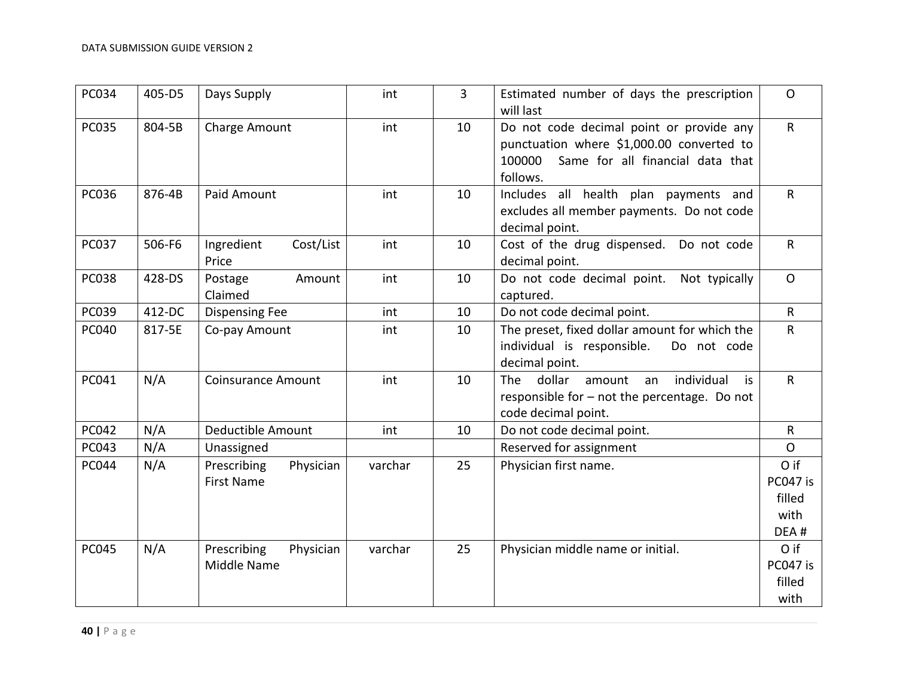| PC034        | 405-D5 | Days Supply                                   | int     | 3  | Estimated number of days the prescription<br>will last                                                                                          | $\mathsf{O}$                               |
|--------------|--------|-----------------------------------------------|---------|----|-------------------------------------------------------------------------------------------------------------------------------------------------|--------------------------------------------|
| <b>PC035</b> | 804-5B | Charge Amount                                 | int     | 10 | Do not code decimal point or provide any<br>punctuation where \$1,000.00 converted to<br>Same for all financial data that<br>100000<br>follows. | $\mathsf{R}$                               |
| PC036        | 876-4B | Paid Amount                                   | int     | 10 | Includes all health plan payments and<br>excludes all member payments. Do not code<br>decimal point.                                            | $\mathsf{R}$                               |
| PC037        | 506-F6 | Ingredient<br>Cost/List<br>Price              | int     | 10 | Cost of the drug dispensed. Do not code<br>decimal point.                                                                                       | $\mathsf{R}$                               |
| <b>PC038</b> | 428-DS | Postage<br>Amount<br>Claimed                  | int     | 10 | Do not code decimal point.<br>Not typically<br>captured.                                                                                        | $\mathsf{O}$                               |
| PC039        | 412-DC | <b>Dispensing Fee</b>                         | int     | 10 | Do not code decimal point.                                                                                                                      | $\mathsf{R}$                               |
| PC040        | 817-5E | Co-pay Amount                                 | int     | 10 | The preset, fixed dollar amount for which the<br>individual is responsible.<br>Do not code<br>decimal point.                                    | $\mathsf R$                                |
| PC041        | N/A    | <b>Coinsurance Amount</b>                     | int     | 10 | individual<br>dollar<br>The<br>amount<br>is<br>an<br>responsible for - not the percentage. Do not<br>code decimal point.                        | $\mathsf{R}$                               |
| <b>PC042</b> | N/A    | Deductible Amount                             | int     | 10 | Do not code decimal point.                                                                                                                      | $\mathsf{R}$                               |
| PC043        | N/A    | Unassigned                                    |         |    | Reserved for assignment                                                                                                                         | $\mathsf{O}$                               |
| <b>PC044</b> | N/A    | Prescribing<br>Physician<br><b>First Name</b> | varchar | 25 | Physician first name.                                                                                                                           | O if<br>PC047 is<br>filled<br>with<br>DEA# |
| <b>PC045</b> | N/A    | Prescribing<br>Physician<br>Middle Name       | varchar | 25 | Physician middle name or initial.                                                                                                               | O if<br>PC047 is<br>filled<br>with         |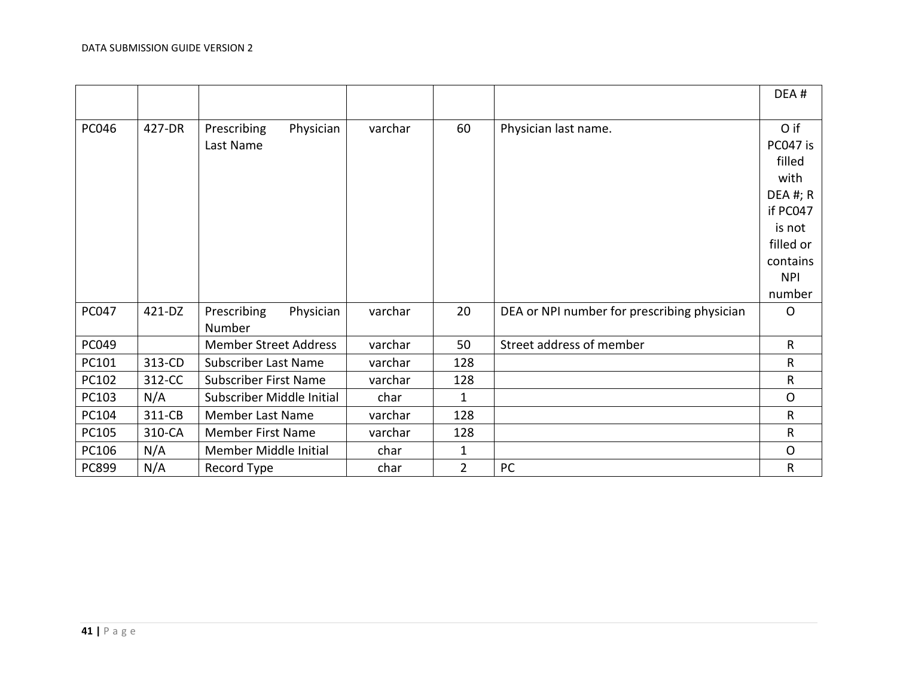|              |        |                              |         |                |                                             | DEA#         |
|--------------|--------|------------------------------|---------|----------------|---------------------------------------------|--------------|
|              |        |                              |         |                |                                             |              |
| <b>PC046</b> | 427-DR | Physician<br>Prescribing     | varchar | 60             | Physician last name.                        | O if         |
|              |        | Last Name                    |         |                |                                             | PC047 is     |
|              |        |                              |         |                |                                             | filled       |
|              |        |                              |         |                |                                             | with         |
|              |        |                              |         |                |                                             | DEA #; R     |
|              |        |                              |         |                |                                             | if PC047     |
|              |        |                              |         |                |                                             | is not       |
|              |        |                              |         |                |                                             | filled or    |
|              |        |                              |         |                |                                             | contains     |
|              |        |                              |         |                |                                             | <b>NPI</b>   |
|              |        |                              |         |                |                                             | number       |
| <b>PC047</b> | 421-DZ | Prescribing<br>Physician     | varchar | 20             | DEA or NPI number for prescribing physician | $\circ$      |
|              |        | Number                       |         |                |                                             |              |
| PC049        |        | <b>Member Street Address</b> | varchar | 50             | Street address of member                    | $\mathsf{R}$ |
| PC101        | 313-CD | Subscriber Last Name         | varchar | 128            |                                             | $\mathsf{R}$ |
| PC102        | 312-CC | Subscriber First Name        | varchar | 128            |                                             | $\mathsf R$  |
| PC103        | N/A    | Subscriber Middle Initial    | char    | $\mathbf{1}$   |                                             | $\mathsf{O}$ |
| PC104        | 311-CB | <b>Member Last Name</b>      | varchar | 128            |                                             | $\mathsf{R}$ |
| PC105        | 310-CA | Member First Name            | varchar | 128            |                                             | $\mathsf R$  |
| PC106        | N/A    | Member Middle Initial        | char    | $\mathbf{1}$   |                                             | $\mathsf{O}$ |
| PC899        | N/A    | Record Type                  | char    | $\overline{2}$ | PC                                          | $\mathsf{R}$ |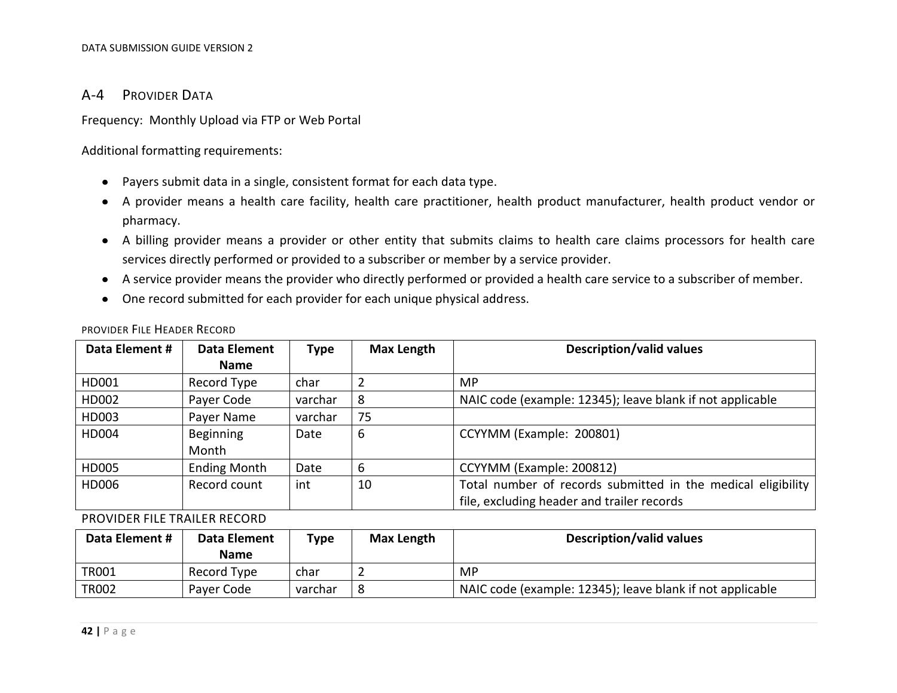#### A-4 PROVIDER DATA

Frequency: Monthly Upload via FTP or Web Portal

Additional formatting requirements:

- Payers submit data in a single, consistent format for each data type.
- A provider means a health care facility, health care practitioner, health product manufacturer, health product vendor or pharmacy.
- A billing provider means a provider or other entity that submits claims to health care claims processors for health care services directly performed or provided to a subscriber or member by a service provider.
- A service provider means the provider who directly performed or provided a health care service to a subscriber of member.
- <span id="page-41-0"></span>One record submitted for each provider for each unique physical address.

| Data Element # | Data Element        | Type    | <b>Max Length</b> | <b>Description/valid values</b>                                                                              |
|----------------|---------------------|---------|-------------------|--------------------------------------------------------------------------------------------------------------|
|                | <b>Name</b>         |         |                   |                                                                                                              |
| HD001          | Record Type         | char    |                   | MP.                                                                                                          |
| HD002          | Payer Code          | varchar | 8                 | NAIC code (example: 12345); leave blank if not applicable                                                    |
| HD003          | Payer Name          | varchar | 75                |                                                                                                              |
| HD004          | Beginning<br>Month  | Date    | 6                 | CCYYMM (Example: 200801)                                                                                     |
| HD005          | <b>Ending Month</b> | Date    | 6                 | CCYYMM (Example: 200812)                                                                                     |
| HD006          | Record count        | int     | 10                | Total number of records submitted in the medical eligibility  <br>file, excluding header and trailer records |

PROVIDER FILE HEADER RECORD

PROVIDER FILE TRAILER RECORD

<span id="page-41-2"></span><span id="page-41-1"></span>

| Data Element # | Data Element<br><b>Name</b> | Type    | Max Length | <b>Description/valid values</b>                           |
|----------------|-----------------------------|---------|------------|-----------------------------------------------------------|
| <b>TR001</b>   | Record Type                 | char    |            | МP                                                        |
| <b>TR002</b>   | Payer Code                  | varchar | -8         | NAIC code (example: 12345); leave blank if not applicable |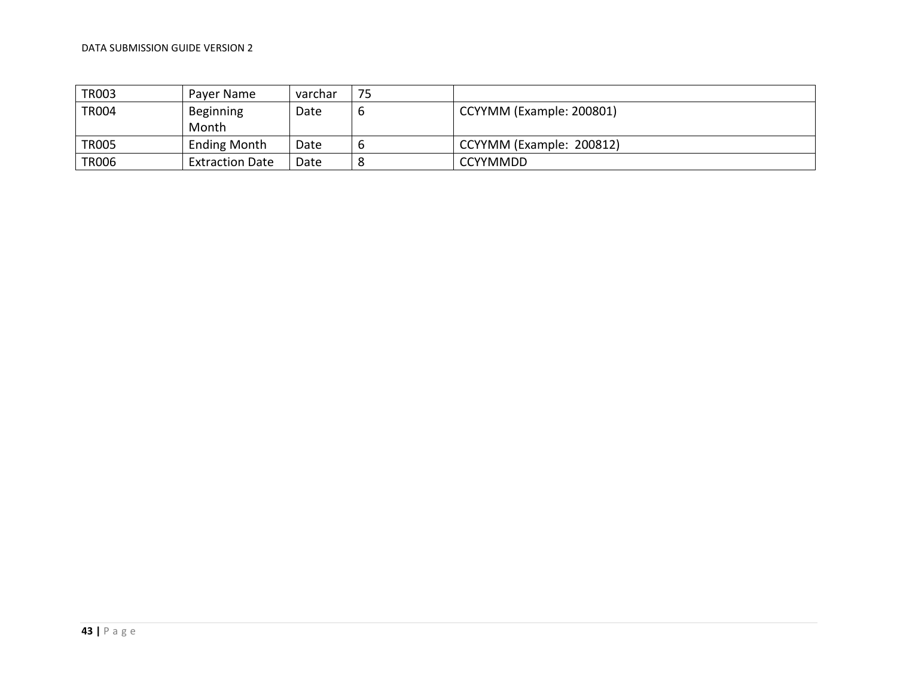| <b>TR003</b> | Payer Name                | varchar | 75 |                          |
|--------------|---------------------------|---------|----|--------------------------|
| <b>TR004</b> | <b>Beginning</b><br>Month | Date    |    | CCYYMM (Example: 200801) |
| <b>TR005</b> | <b>Ending Month</b>       | Date    |    | CCYYMM (Example: 200812) |
| <b>TR006</b> | <b>Extraction Date</b>    | Date    |    | <b>CCYYMMDD</b>          |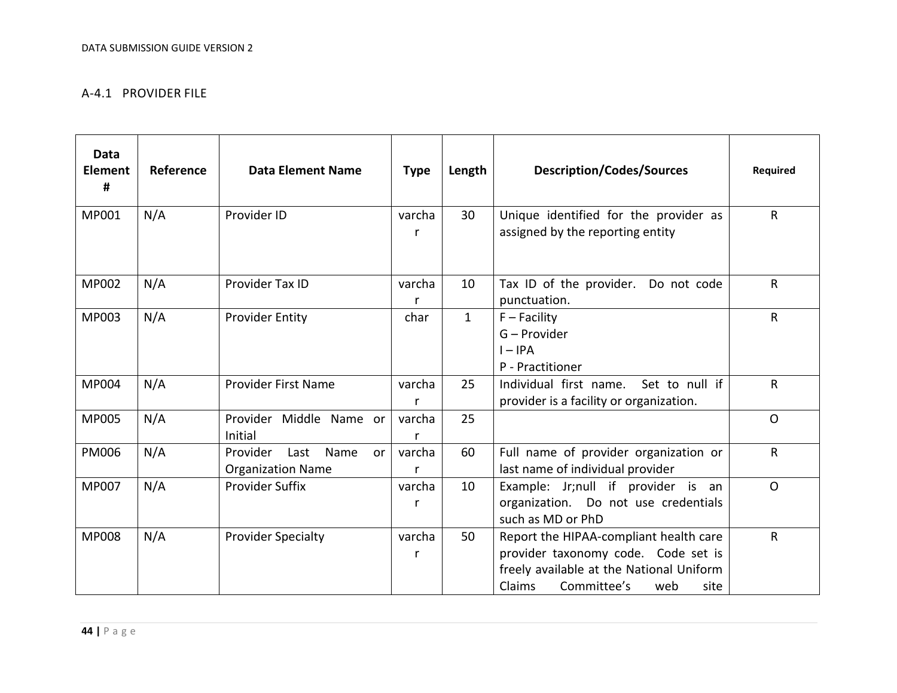#### A-4.1 PROVIDER FILE

<span id="page-43-0"></span>

| <b>Data</b><br>Element<br># | Reference | <b>Data Element Name</b>                                                | <b>Type</b> | Length       | <b>Description/Codes/Sources</b>                                                                                                                                  | <b>Required</b> |
|-----------------------------|-----------|-------------------------------------------------------------------------|-------------|--------------|-------------------------------------------------------------------------------------------------------------------------------------------------------------------|-----------------|
| MP001                       | N/A       | Provider ID                                                             | varcha<br>r | 30           | Unique identified for the provider as<br>assigned by the reporting entity                                                                                         | $\mathsf{R}$    |
| <b>MP002</b>                | N/A       | Provider Tax ID                                                         | varcha      | 10           | Tax ID of the provider.<br>Do not code<br>punctuation.                                                                                                            | R               |
| MP003                       | N/A       | <b>Provider Entity</b>                                                  | char        | $\mathbf{1}$ | $F$ – Facility<br>G - Provider<br>$I - IPA$<br>P - Practitioner                                                                                                   | $\mathsf{R}$    |
| MP004                       | N/A       | <b>Provider First Name</b>                                              | varcha<br>r | 25           | Individual first name. Set to null if<br>provider is a facility or organization.                                                                                  | $\mathsf{R}$    |
| <b>MP005</b>                | N/A       | Provider Middle Name or<br>Initial                                      | varcha      | 25           |                                                                                                                                                                   | $\Omega$        |
| <b>PM006</b>                | N/A       | Provider<br>Last<br>Name<br>or <sub>l</sub><br><b>Organization Name</b> | varcha<br>r | 60           | Full name of provider organization or<br>last name of individual provider                                                                                         | $\mathsf{R}$    |
| <b>MP007</b>                | N/A       | <b>Provider Suffix</b>                                                  | varcha<br>r | 10           | Example: Jr;null if provider is an<br>organization. Do not use credentials<br>such as MD or PhD                                                                   | $\circ$         |
| <b>MP008</b>                | N/A       | <b>Provider Specialty</b>                                               | varcha<br>r | 50           | Report the HIPAA-compliant health care<br>provider taxonomy code. Code set is<br>freely available at the National Uniform<br>Claims<br>Committee's<br>web<br>site | $\mathsf{R}$    |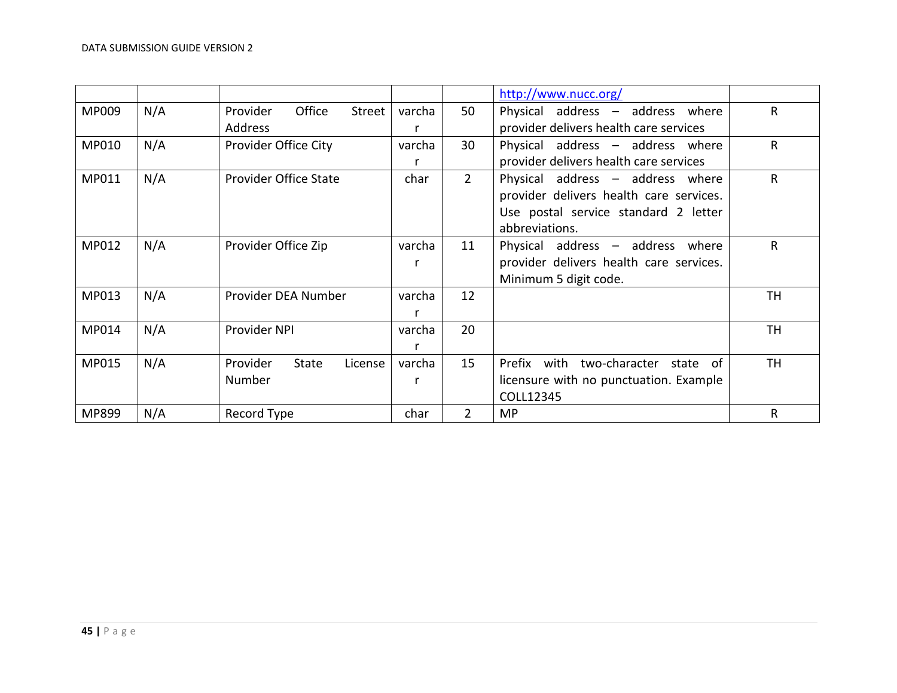|       |     |                                     |        |                | http://www.nucc.org/                    |           |
|-------|-----|-------------------------------------|--------|----------------|-----------------------------------------|-----------|
| MP009 | N/A | Office<br>Provider<br>Street        | varcha | 50             | Physical address - address where        | R         |
|       |     | Address                             | r      |                | provider delivers health care services  |           |
| MP010 | N/A | Provider Office City                | varcha | 30             | Physical address - address where        | R         |
|       |     |                                     |        |                | provider delivers health care services  |           |
| MP011 | N/A | <b>Provider Office State</b>        | char   | $2^{\circ}$    | Physical address - address where        | R         |
|       |     |                                     |        |                | provider delivers health care services. |           |
|       |     |                                     |        |                | Use postal service standard 2 letter    |           |
|       |     |                                     |        |                | abbreviations.                          |           |
| MP012 | N/A | Provider Office Zip                 | varcha | 11             | Physical address - address where        | R         |
|       |     |                                     | r      |                | provider delivers health care services. |           |
|       |     |                                     |        |                | Minimum 5 digit code.                   |           |
| MP013 | N/A | Provider DEA Number                 | varcha | 12             |                                         | TH        |
|       |     |                                     |        |                |                                         |           |
| MP014 | N/A | Provider NPI                        | varcha | 20             |                                         | <b>TH</b> |
|       |     |                                     | r      |                |                                         |           |
| MP015 | N/A | Provider<br><b>State</b><br>License | varcha | 15             | Prefix with two-character<br>state of   | <b>TH</b> |
|       |     | Number                              | r      |                | licensure with no punctuation. Example  |           |
|       |     |                                     |        |                | COLL12345                               |           |
| MP899 | N/A | Record Type                         | char   | $\overline{2}$ | <b>MP</b>                               | R         |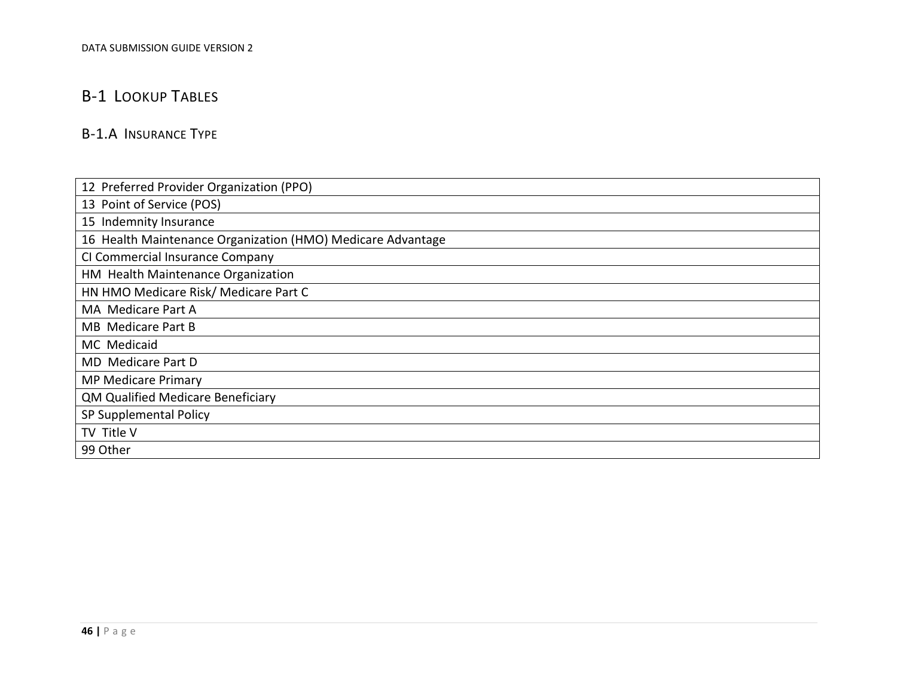# B-1 LOOKUP TABLES

# B-1.A INSURANCE TYPE

<span id="page-45-1"></span><span id="page-45-0"></span>

| 12 Preferred Provider Organization (PPO)                    |
|-------------------------------------------------------------|
| 13 Point of Service (POS)                                   |
| 15 Indemnity Insurance                                      |
| 16 Health Maintenance Organization (HMO) Medicare Advantage |
| CI Commercial Insurance Company                             |
| HM Health Maintenance Organization                          |
| HN HMO Medicare Risk/ Medicare Part C                       |
| MA Medicare Part A                                          |
| <b>MB</b> Medicare Part B                                   |
| MC Medicaid                                                 |
| MD Medicare Part D                                          |
| <b>MP Medicare Primary</b>                                  |
| QM Qualified Medicare Beneficiary                           |
| SP Supplemental Policy                                      |
| TV Title V                                                  |
| 99 Other                                                    |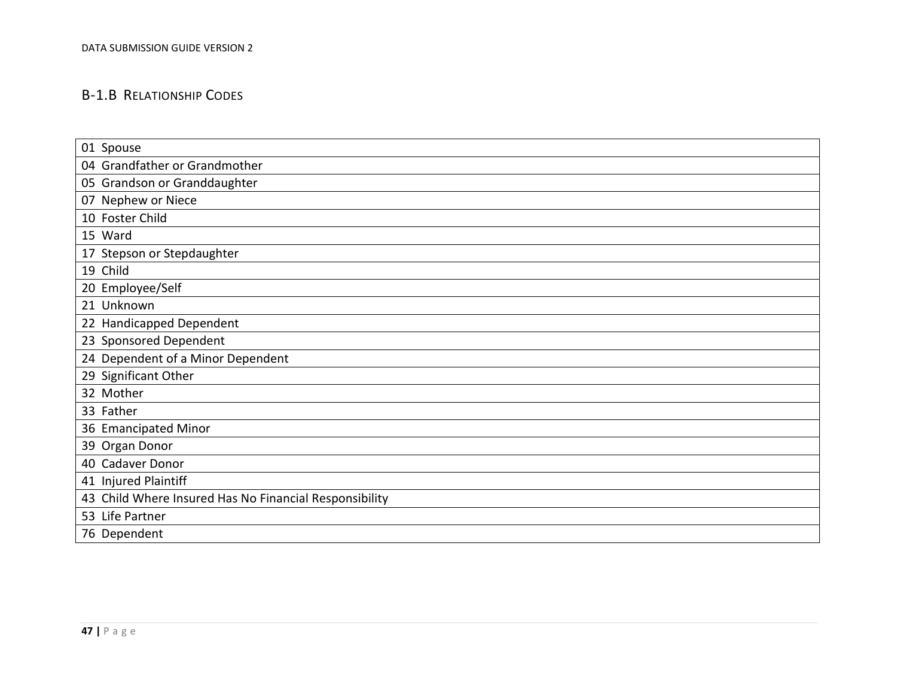# B-1.B RELATIONSHIP CODES

<span id="page-46-0"></span>

| 01 Spouse                                              |
|--------------------------------------------------------|
| 04 Grandfather or Grandmother                          |
| 05 Grandson or Granddaughter                           |
| 07 Nephew or Niece                                     |
| 10 Foster Child                                        |
| 15 Ward                                                |
| 17 Stepson or Stepdaughter                             |
| 19 Child                                               |
| 20 Employee/Self                                       |
| 21 Unknown                                             |
| 22 Handicapped Dependent                               |
| 23 Sponsored Dependent                                 |
| 24 Dependent of a Minor Dependent                      |
| 29 Significant Other                                   |
| 32 Mother                                              |
| 33 Father                                              |
| 36 Emancipated Minor                                   |
| 39 Organ Donor                                         |
| 40 Cadaver Donor                                       |
| 41 Injured Plaintiff                                   |
| 43 Child Where Insured Has No Financial Responsibility |
| 53 Life Partner                                        |
| 76 Dependent                                           |